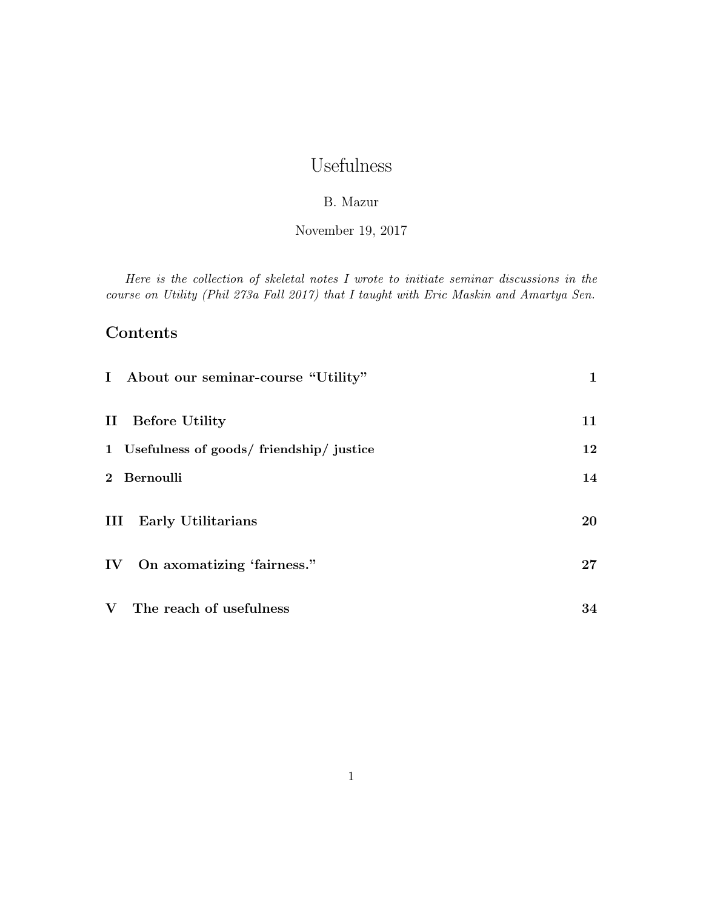## Usefulness

### B. Mazur

## November 19, 2017

Here is the collection of skeletal notes I wrote to initiate seminar discussions in the course on Utility (Phil 273a Fall 2017) that I taught with Eric Maskin and Amartya Sen.

## Contents

|               | I About our seminar-course "Utility"       | 1  |
|---------------|--------------------------------------------|----|
|               | II Before Utility                          | 11 |
|               | 1 Usefulness of goods/ friendship/ justice | 12 |
|               | 2 Bernoulli                                | 14 |
|               | <b>III</b> Early Utilitarians              | 20 |
| $\mathbf{IV}$ | On axomatizing 'fairness."                 | 27 |
| $\mathbf V$   | The reach of usefulness                    | 34 |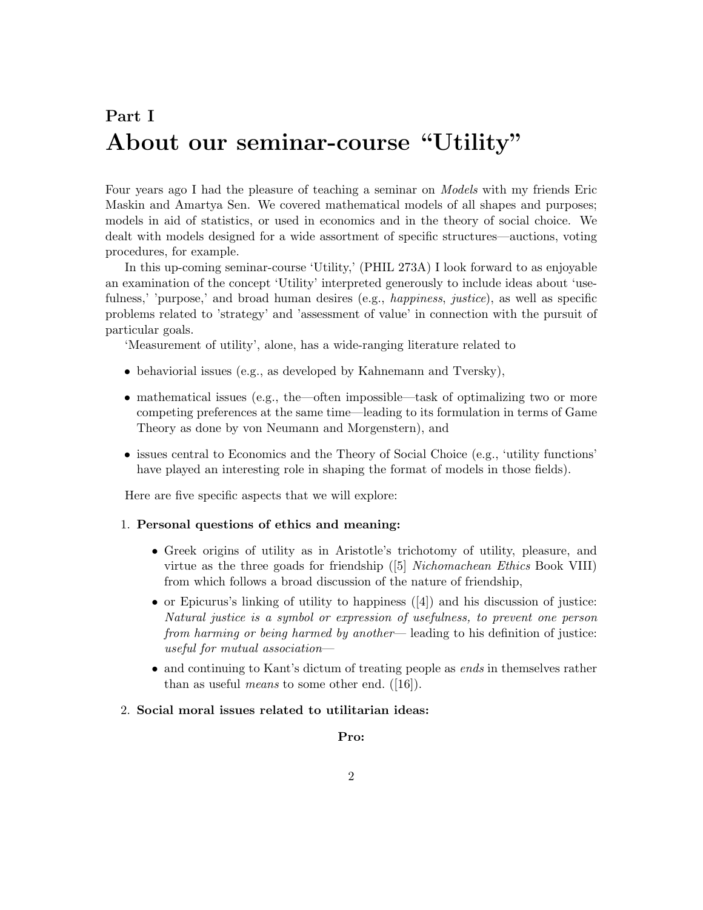# Part I About our seminar-course "Utility"

Four years ago I had the pleasure of teaching a seminar on *Models* with my friends Eric Maskin and Amartya Sen. We covered mathematical models of all shapes and purposes; models in aid of statistics, or used in economics and in the theory of social choice. We dealt with models designed for a wide assortment of specific structures—auctions, voting procedures, for example.

In this up-coming seminar-course 'Utility,' (PHIL 273A) I look forward to as enjoyable an examination of the concept 'Utility' interpreted generously to include ideas about 'usefulness,' 'purpose,' and broad human desires (e.g., *happiness, justice*), as well as specific problems related to 'strategy' and 'assessment of value' in connection with the pursuit of particular goals.

'Measurement of utility', alone, has a wide-ranging literature related to

- behaviorial issues (e.g., as developed by Kahnemann and Tversky),
- mathematical issues (e.g., the—often impossible—task of optimalizing two or more competing preferences at the same time—leading to its formulation in terms of Game Theory as done by von Neumann and Morgenstern), and
- issues central to Economics and the Theory of Social Choice (e.g., 'utility functions' have played an interesting role in shaping the format of models in those fields).

Here are five specific aspects that we will explore:

#### 1. Personal questions of ethics and meaning:

- Greek origins of utility as in Aristotle's trichotomy of utility, pleasure, and virtue as the three goads for friendship ([5] Nichomachean Ethics Book VIII) from which follows a broad discussion of the nature of friendship,
- or Epicurus's linking of utility to happiness ([4]) and his discussion of justice: Natural justice is a symbol or expression of usefulness, to prevent one person from harming or being harmed by another— leading to his definition of justice: useful for mutual association—
- and continuing to Kant's dictum of treating people as *ends* in themselves rather than as useful *means* to some other end.  $([16])$ .
- 2. Social moral issues related to utilitarian ideas:

#### Pro: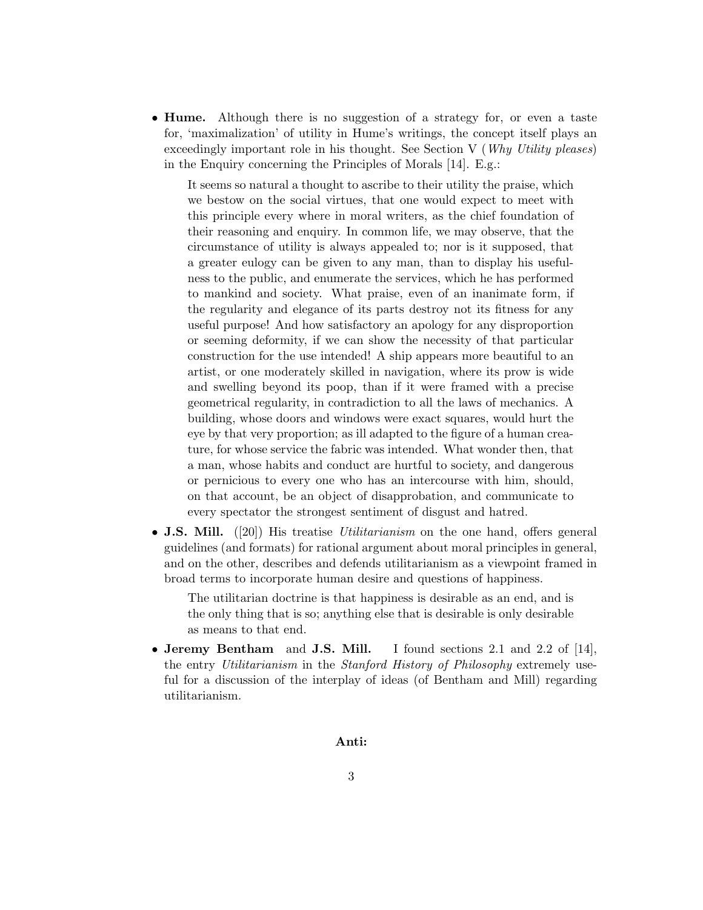• Hume. Although there is no suggestion of a strategy for, or even a taste for, 'maximalization' of utility in Hume's writings, the concept itself plays an exceedingly important role in his thought. See Section V (*Why Utility pleases*) in the Enquiry concerning the Principles of Morals [14]. E.g.:

It seems so natural a thought to ascribe to their utility the praise, which we bestow on the social virtues, that one would expect to meet with this principle every where in moral writers, as the chief foundation of their reasoning and enquiry. In common life, we may observe, that the circumstance of utility is always appealed to; nor is it supposed, that a greater eulogy can be given to any man, than to display his usefulness to the public, and enumerate the services, which he has performed to mankind and society. What praise, even of an inanimate form, if the regularity and elegance of its parts destroy not its fitness for any useful purpose! And how satisfactory an apology for any disproportion or seeming deformity, if we can show the necessity of that particular construction for the use intended! A ship appears more beautiful to an artist, or one moderately skilled in navigation, where its prow is wide and swelling beyond its poop, than if it were framed with a precise geometrical regularity, in contradiction to all the laws of mechanics. A building, whose doors and windows were exact squares, would hurt the eye by that very proportion; as ill adapted to the figure of a human creature, for whose service the fabric was intended. What wonder then, that a man, whose habits and conduct are hurtful to society, and dangerous or pernicious to every one who has an intercourse with him, should, on that account, be an object of disapprobation, and communicate to every spectator the strongest sentiment of disgust and hatred.

• **J.S. Mill.** ([20]) His treatise *Utilitarianism* on the one hand, offers general guidelines (and formats) for rational argument about moral principles in general, and on the other, describes and defends utilitarianism as a viewpoint framed in broad terms to incorporate human desire and questions of happiness.

The utilitarian doctrine is that happiness is desirable as an end, and is the only thing that is so; anything else that is desirable is only desirable as means to that end.

• Jeremy Bentham and J.S. Mill. I found sections 2.1 and 2.2 of [14], the entry Utilitarianism in the Stanford History of Philosophy extremely useful for a discussion of the interplay of ideas (of Bentham and Mill) regarding utilitarianism.

#### Anti: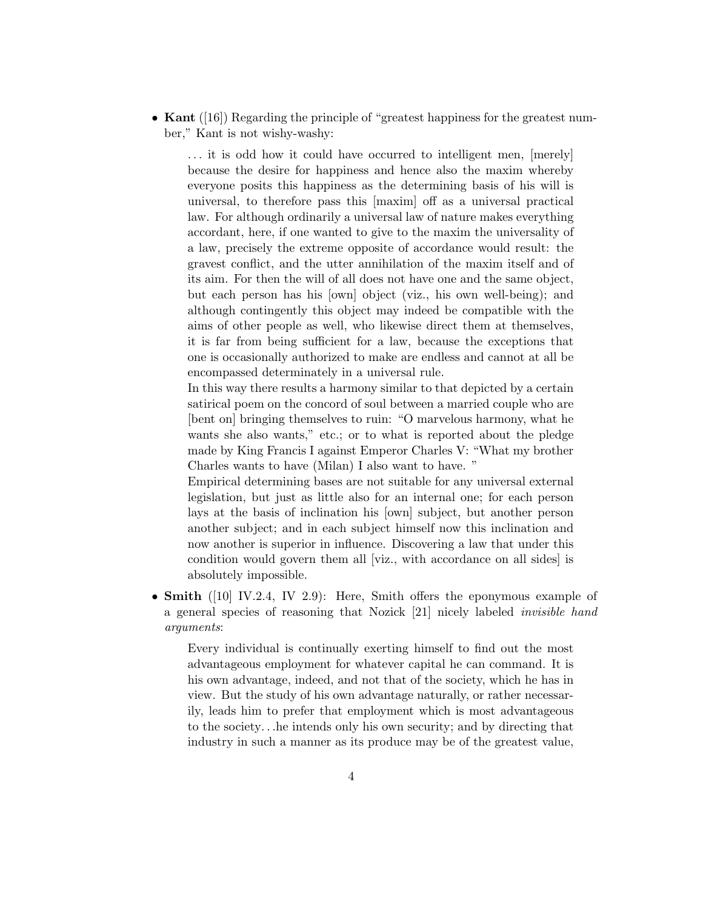• Kant ([16]) Regarding the principle of "greatest happiness for the greatest number," Kant is not wishy-washy:

. . . it is odd how it could have occurred to intelligent men, [merely] because the desire for happiness and hence also the maxim whereby everyone posits this happiness as the determining basis of his will is universal, to therefore pass this [maxim] off as a universal practical law. For although ordinarily a universal law of nature makes everything accordant, here, if one wanted to give to the maxim the universality of a law, precisely the extreme opposite of accordance would result: the gravest conflict, and the utter annihilation of the maxim itself and of its aim. For then the will of all does not have one and the same object, but each person has his [own] object (viz., his own well-being); and although contingently this object may indeed be compatible with the aims of other people as well, who likewise direct them at themselves, it is far from being sufficient for a law, because the exceptions that one is occasionally authorized to make are endless and cannot at all be encompassed determinately in a universal rule.

In this way there results a harmony similar to that depicted by a certain satirical poem on the concord of soul between a married couple who are [bent on] bringing themselves to ruin: "O marvelous harmony, what he wants she also wants," etc.; or to what is reported about the pledge made by King Francis I against Emperor Charles V: "What my brother Charles wants to have (Milan) I also want to have. "

Empirical determining bases are not suitable for any universal external legislation, but just as little also for an internal one; for each person lays at the basis of inclination his [own] subject, but another person another subject; and in each subject himself now this inclination and now another is superior in influence. Discovering a law that under this condition would govern them all [viz., with accordance on all sides] is absolutely impossible.

• **Smith** ([10] IV.2.4, IV 2.9): Here, Smith offers the eponymous example of a general species of reasoning that Nozick [21] nicely labeled invisible hand arguments:

Every individual is continually exerting himself to find out the most advantageous employment for whatever capital he can command. It is his own advantage, indeed, and not that of the society, which he has in view. But the study of his own advantage naturally, or rather necessarily, leads him to prefer that employment which is most advantageous to the society. . .he intends only his own security; and by directing that industry in such a manner as its produce may be of the greatest value,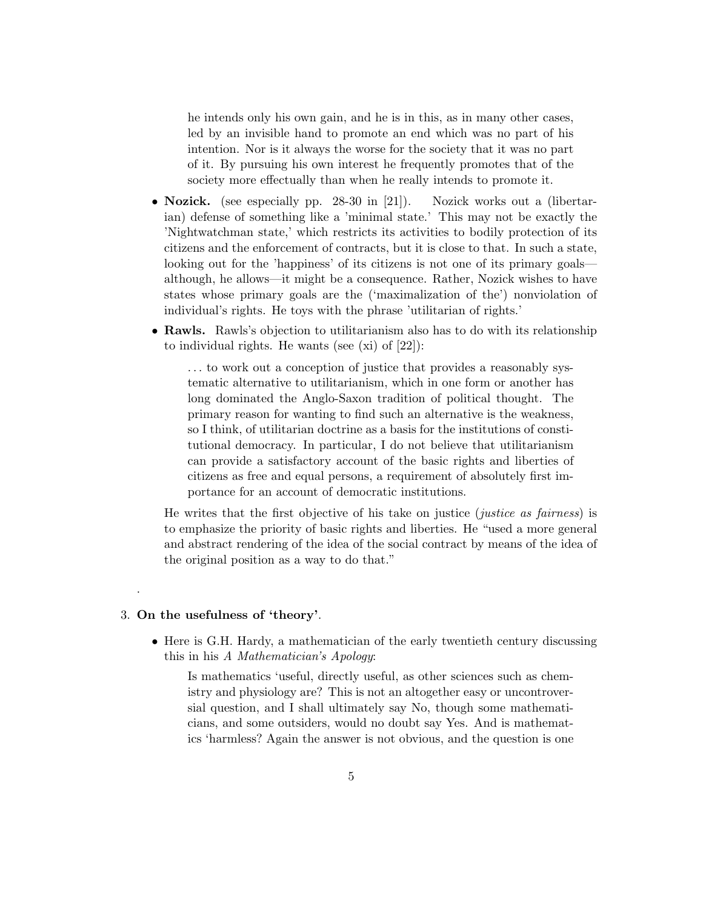he intends only his own gain, and he is in this, as in many other cases, led by an invisible hand to promote an end which was no part of his intention. Nor is it always the worse for the society that it was no part of it. By pursuing his own interest he frequently promotes that of the society more effectually than when he really intends to promote it.

- Nozick. (see especially pp. 28-30 in [21]). Nozick works out a (libertarian) defense of something like a 'minimal state.' This may not be exactly the 'Nightwatchman state,' which restricts its activities to bodily protection of its citizens and the enforcement of contracts, but it is close to that. In such a state, looking out for the 'happiness' of its citizens is not one of its primary goals although, he allows—it might be a consequence. Rather, Nozick wishes to have states whose primary goals are the ('maximalization of the') nonviolation of individual's rights. He toys with the phrase 'utilitarian of rights.'
- Rawls. Rawls's objection to utilitarianism also has to do with its relationship to individual rights. He wants (see (xi) of [22]):

... to work out a conception of justice that provides a reasonably systematic alternative to utilitarianism, which in one form or another has long dominated the Anglo-Saxon tradition of political thought. The primary reason for wanting to find such an alternative is the weakness, so I think, of utilitarian doctrine as a basis for the institutions of constitutional democracy. In particular, I do not believe that utilitarianism can provide a satisfactory account of the basic rights and liberties of citizens as free and equal persons, a requirement of absolutely first importance for an account of democratic institutions.

He writes that the first objective of his take on justice (justice as fairness) is to emphasize the priority of basic rights and liberties. He "used a more general and abstract rendering of the idea of the social contract by means of the idea of the original position as a way to do that."

#### 3. On the usefulness of 'theory'.

.

• Here is G.H. Hardy, a mathematician of the early twentieth century discussing this in his A Mathematician's Apology:

Is mathematics 'useful, directly useful, as other sciences such as chemistry and physiology are? This is not an altogether easy or uncontroversial question, and I shall ultimately say No, though some mathematicians, and some outsiders, would no doubt say Yes. And is mathematics 'harmless? Again the answer is not obvious, and the question is one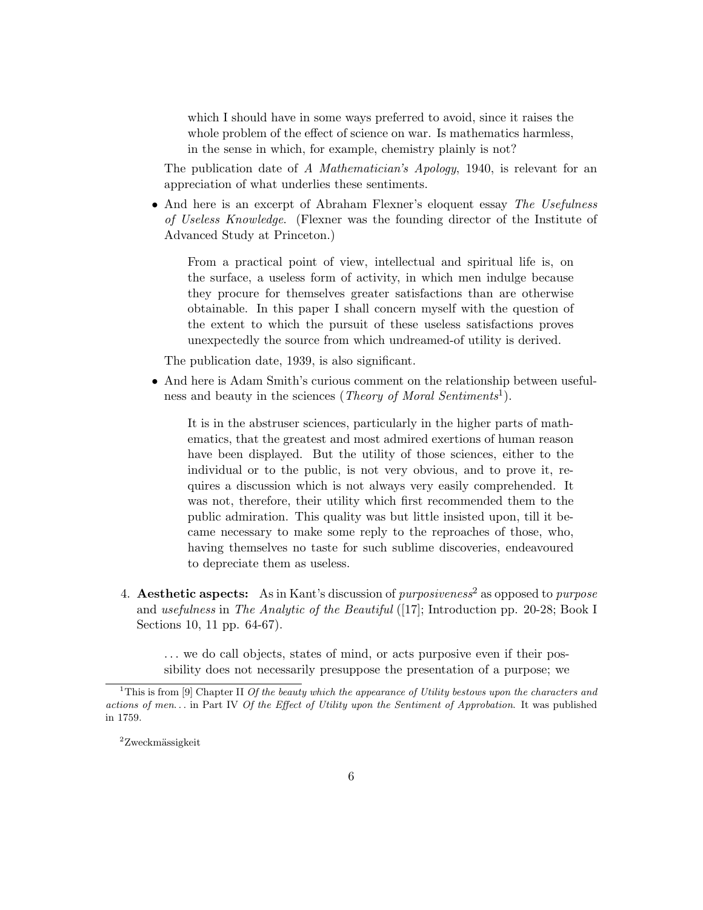which I should have in some ways preferred to avoid, since it raises the whole problem of the effect of science on war. Is mathematics harmless, in the sense in which, for example, chemistry plainly is not?

The publication date of A Mathematician's Apology, 1940, is relevant for an appreciation of what underlies these sentiments.

• And here is an excerpt of Abraham Flexner's eloquent essay The Usefulness of Useless Knowledge. (Flexner was the founding director of the Institute of Advanced Study at Princeton.)

From a practical point of view, intellectual and spiritual life is, on the surface, a useless form of activity, in which men indulge because they procure for themselves greater satisfactions than are otherwise obtainable. In this paper I shall concern myself with the question of the extent to which the pursuit of these useless satisfactions proves unexpectedly the source from which undreamed-of utility is derived.

The publication date, 1939, is also significant.

• And here is Adam Smith's curious comment on the relationship between usefulness and beauty in the sciences (*Theory of Moral Sentiments*<sup>1</sup>).

It is in the abstruser sciences, particularly in the higher parts of mathematics, that the greatest and most admired exertions of human reason have been displayed. But the utility of those sciences, either to the individual or to the public, is not very obvious, and to prove it, requires a discussion which is not always very easily comprehended. It was not, therefore, their utility which first recommended them to the public admiration. This quality was but little insisted upon, till it became necessary to make some reply to the reproaches of those, who, having themselves no taste for such sublime discoveries, endeavoured to depreciate them as useless.

4. **Aesthetic aspects:** As in Kant's discussion of  $purposiveness<sup>2</sup>$  as opposed to  $purpose$ and usefulness in The Analytic of the Beautiful ([17]; Introduction pp. 20-28; Book I Sections 10, 11 pp. 64-67).

. . . we do call objects, states of mind, or acts purposive even if their possibility does not necessarily presuppose the presentation of a purpose; we

 $2$ Zweckmässigkeit

<sup>&</sup>lt;sup>1</sup>This is from [9] Chapter II Of the beauty which the appearance of Utility bestows upon the characters and actions of men. . . in Part IV Of the Effect of Utility upon the Sentiment of Approbation. It was published in 1759.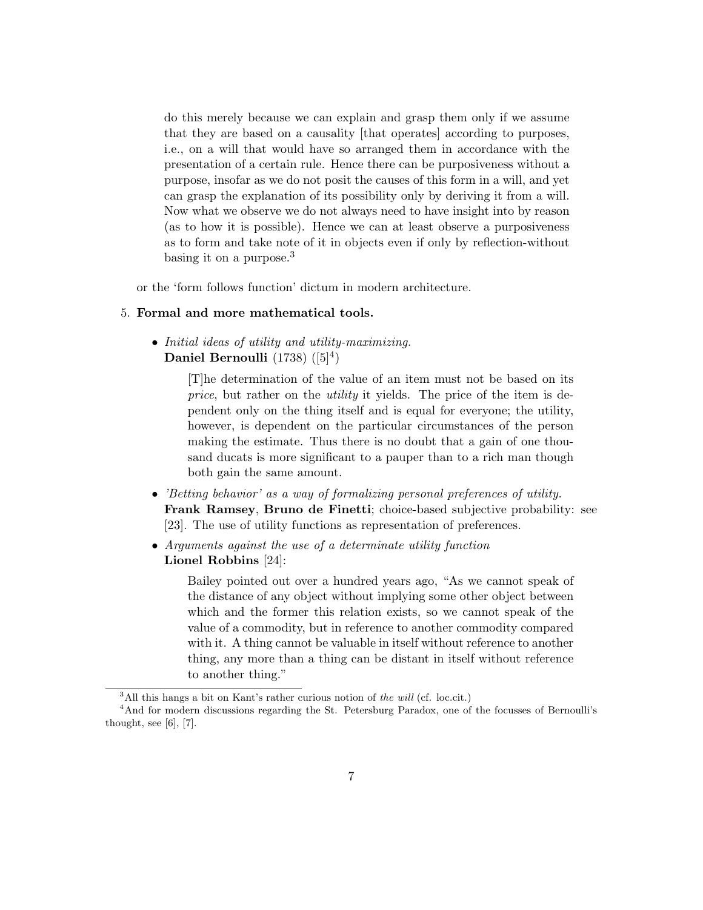do this merely because we can explain and grasp them only if we assume that they are based on a causality [that operates] according to purposes, i.e., on a will that would have so arranged them in accordance with the presentation of a certain rule. Hence there can be purposiveness without a purpose, insofar as we do not posit the causes of this form in a will, and yet can grasp the explanation of its possibility only by deriving it from a will. Now what we observe we do not always need to have insight into by reason (as to how it is possible). Hence we can at least observe a purposiveness as to form and take note of it in objects even if only by reflection-without basing it on a purpose.<sup>3</sup>

or the 'form follows function' dictum in modern architecture.

#### 5. Formal and more mathematical tools.

• Initial ideas of utility and utility-maximizing. Daniel Bernoulli  $(1738)$   $([5]^{4})$ 

> [T]he determination of the value of an item must not be based on its price, but rather on the *utility* it yields. The price of the item is dependent only on the thing itself and is equal for everyone; the utility, however, is dependent on the particular circumstances of the person making the estimate. Thus there is no doubt that a gain of one thousand ducats is more significant to a pauper than to a rich man though both gain the same amount.

- 'Betting behavior' as a way of formalizing personal preferences of utility. Frank Ramsey, Bruno de Finetti; choice-based subjective probability: see [23]. The use of utility functions as representation of preferences.
- Arguments against the use of a determinate utility function Lionel Robbins [24]:

Bailey pointed out over a hundred years ago, "As we cannot speak of the distance of any object without implying some other object between which and the former this relation exists, so we cannot speak of the value of a commodity, but in reference to another commodity compared with it. A thing cannot be valuable in itself without reference to another thing, any more than a thing can be distant in itself without reference to another thing."

 $3$ All this hangs a bit on Kant's rather curious notion of the will (cf. loc.cit.)

<sup>&</sup>lt;sup>4</sup>And for modern discussions regarding the St. Petersburg Paradox, one of the focusses of Bernoulli's thought, see  $[6]$ ,  $[7]$ .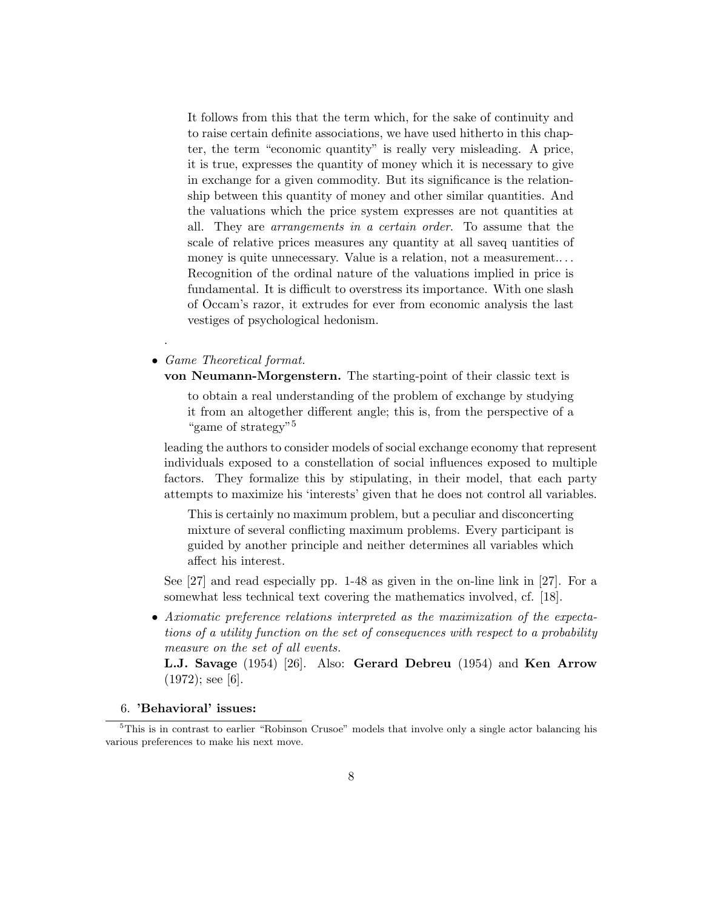It follows from this that the term which, for the sake of continuity and to raise certain definite associations, we have used hitherto in this chapter, the term "economic quantity" is really very misleading. A price, it is true, expresses the quantity of money which it is necessary to give in exchange for a given commodity. But its significance is the relationship between this quantity of money and other similar quantities. And the valuations which the price system expresses are not quantities at all. They are arrangements in a certain order. To assume that the scale of relative prices measures any quantity at all saveq uantities of money is quite unnecessary. Value is a relation, not a measurement.... Recognition of the ordinal nature of the valuations implied in price is fundamental. It is difficult to overstress its importance. With one slash of Occam's razor, it extrudes for ever from economic analysis the last vestiges of psychological hedonism.

• Game Theoretical format.

.

von Neumann-Morgenstern. The starting-point of their classic text is

to obtain a real understanding of the problem of exchange by studying it from an altogether different angle; this is, from the perspective of a "game of strategy"<sup>5</sup>

leading the authors to consider models of social exchange economy that represent individuals exposed to a constellation of social influences exposed to multiple factors. They formalize this by stipulating, in their model, that each party attempts to maximize his 'interests' given that he does not control all variables.

This is certainly no maximum problem, but a peculiar and disconcerting mixture of several conflicting maximum problems. Every participant is guided by another principle and neither determines all variables which affect his interest.

See [27] and read especially pp. 1-48 as given in the on-line link in [27]. For a somewhat less technical text covering the mathematics involved, cf. [18].

• Axiomatic preference relations interpreted as the maximization of the expectations of a utility function on the set of consequences with respect to a probability measure on the set of all events.

L.J. Savage (1954) [26]. Also: Gerard Debreu (1954) and Ken Arrow  $(1972)$ ; see [6].

#### 6. 'Behavioral' issues:

 ${}^{5}$ This is in contrast to earlier "Robinson Crusoe" models that involve only a single actor balancing his various preferences to make his next move.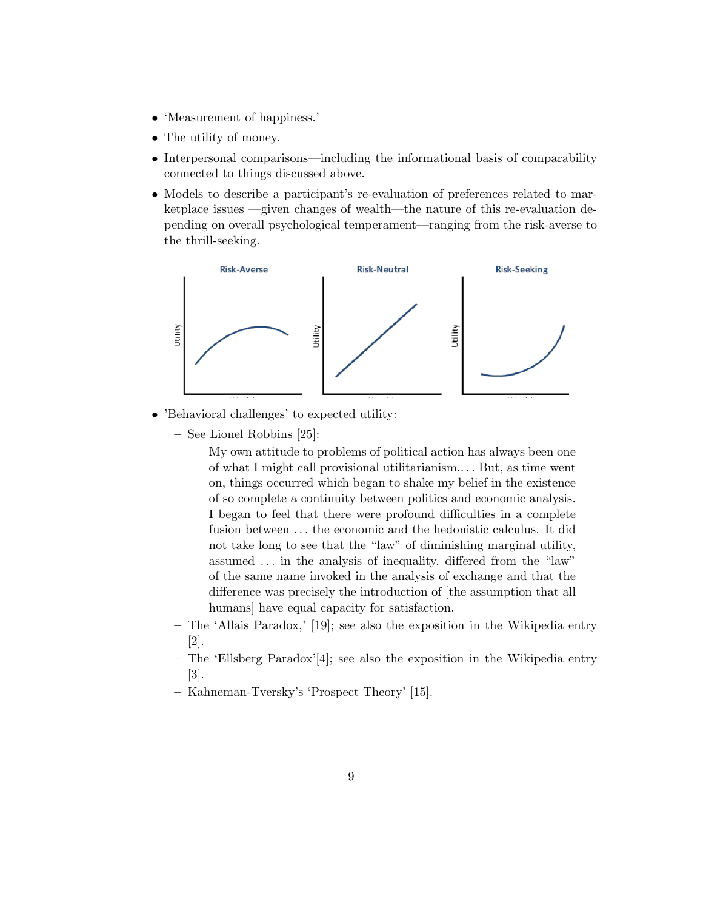- 'Measurement of happiness.'
- The utility of money.
- Interpersonal comparisons—including the informational basis of comparability connected to things discussed above.
- Models to describe a participant's re-evaluation of preferences related to marketplace issues —given changes of wealth—the nature of this re-evaluation depending on overall psychological temperament—ranging from the risk-averse to the thrill-seeking.



- 'Behavioral challenges' to expected utility:
	- See Lionel Robbins [25]:

My own attitude to problems of political action has always been one of what I might call provisional utilitarianism.. . . But, as time went on, things occurred which began to shake my belief in the existence of so complete a continuity between politics and economic analysis. I began to feel that there were profound difficulties in a complete fusion between . . . the economic and the hedonistic calculus. It did not take long to see that the "law" of diminishing marginal utility, assumed . . . in the analysis of inequality, differed from the "law" of the same name invoked in the analysis of exchange and that the difference was precisely the introduction of [the assumption that all humans] have equal capacity for satisfaction.

- The 'Allais Paradox,' [19]; see also the exposition in the Wikipedia entry [2].
- The 'Ellsberg Paradox'[4]; see also the exposition in the Wikipedia entry [3].
- Kahneman-Tversky's 'Prospect Theory' [15].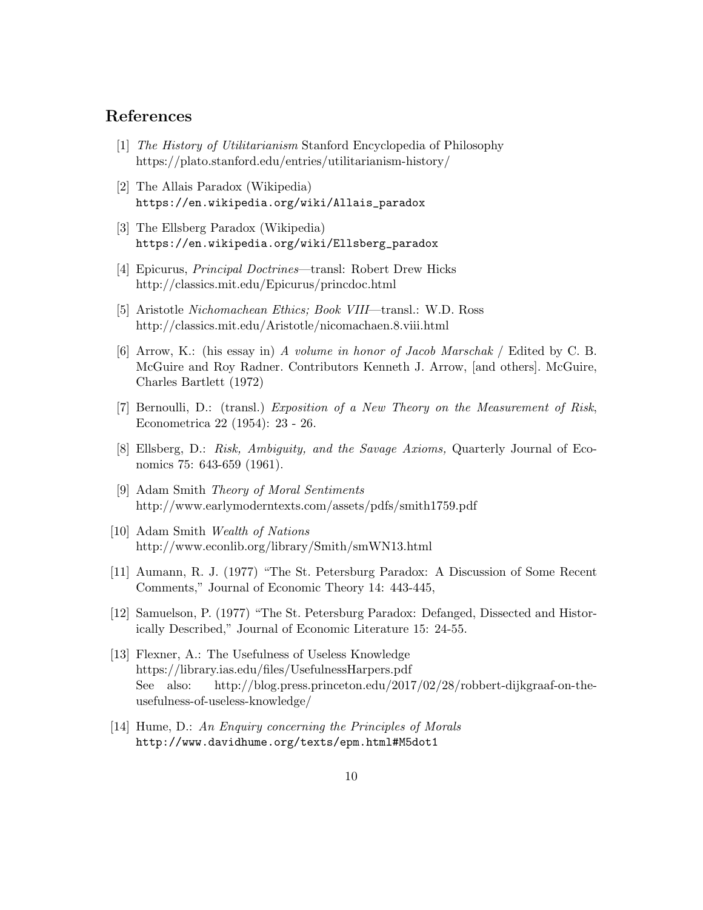### References

- [1] The History of Utilitarianism Stanford Encyclopedia of Philosophy https://plato.stanford.edu/entries/utilitarianism-history/
- [2] The Allais Paradox (Wikipedia) https://en.wikipedia.org/wiki/Allais\_paradox
- [3] The Ellsberg Paradox (Wikipedia) https://en.wikipedia.org/wiki/Ellsberg\_paradox
- [4] Epicurus, Principal Doctrines—transl: Robert Drew Hicks http://classics.mit.edu/Epicurus/princdoc.html
- [5] Aristotle Nichomachean Ethics; Book VIII—transl.: W.D. Ross http://classics.mit.edu/Aristotle/nicomachaen.8.viii.html
- [6] Arrow, K.: (his essay in) A volume in honor of Jacob Marschak / Edited by C. B. McGuire and Roy Radner. Contributors Kenneth J. Arrow, [and others]. McGuire, Charles Bartlett (1972)
- [7] Bernoulli, D.: (transl.) Exposition of a New Theory on the Measurement of Risk, Econometrica 22 (1954): 23 - 26.
- [8] Ellsberg, D.: Risk, Ambiguity, and the Savage Axioms, Quarterly Journal of Economics 75: 643-659 (1961).
- [9] Adam Smith Theory of Moral Sentiments http://www.earlymoderntexts.com/assets/pdfs/smith1759.pdf
- [10] Adam Smith Wealth of Nations http://www.econlib.org/library/Smith/smWN13.html
- [11] Aumann, R. J. (1977) "The St. Petersburg Paradox: A Discussion of Some Recent Comments," Journal of Economic Theory 14: 443-445,
- [12] Samuelson, P. (1977) "The St. Petersburg Paradox: Defanged, Dissected and Historically Described," Journal of Economic Literature 15: 24-55.
- [13] Flexner, A.: The Usefulness of Useless Knowledge https://library.ias.edu/files/UsefulnessHarpers.pdf See also: http://blog.press.princeton.edu/2017/02/28/robbert-dijkgraaf-on-theusefulness-of-useless-knowledge/
- [14] Hume, D.: An Enquiry concerning the Principles of Morals http://www.davidhume.org/texts/epm.html#M5dot1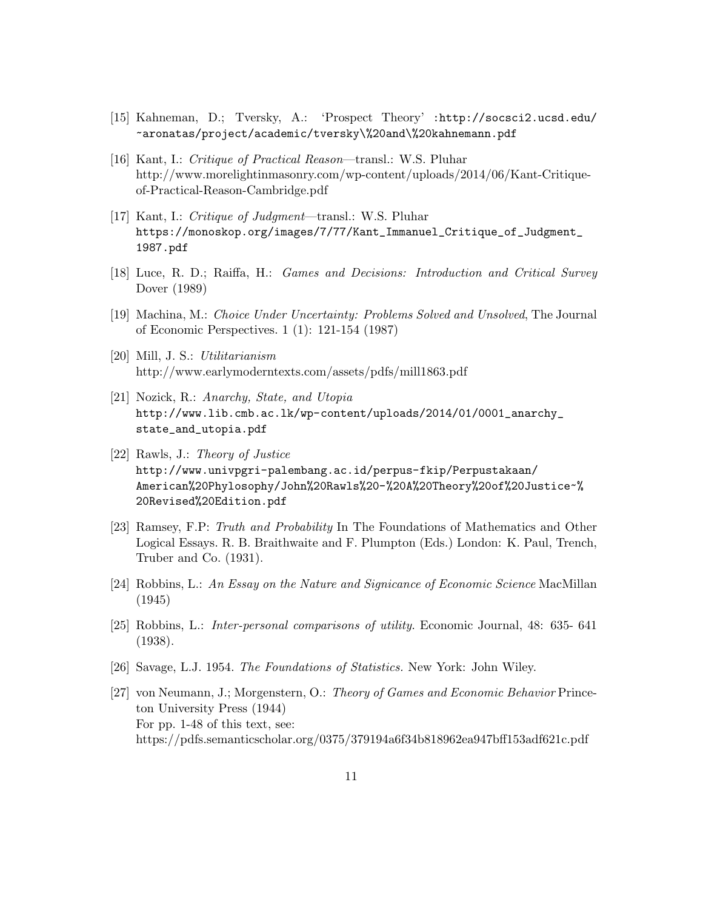- [15] Kahneman, D.; Tversky, A.: 'Prospect Theory' :http://socsci2.ucsd.edu/ ~aronatas/project/academic/tversky\%20and\%20kahnemann.pdf
- [16] Kant, I.: Critique of Practical Reason—transl.: W.S. Pluhar http://www.morelightinmasonry.com/wp-content/uploads/2014/06/Kant-Critiqueof-Practical-Reason-Cambridge.pdf
- [17] Kant, I.: Critique of Judgment—transl.: W.S. Pluhar https://monoskop.org/images/7/77/Kant\_Immanuel\_Critique\_of\_Judgment\_ 1987.pdf
- [18] Luce, R. D.; Raiffa, H.: Games and Decisions: Introduction and Critical Survey Dover (1989)
- [19] Machina, M.: Choice Under Uncertainty: Problems Solved and Unsolved, The Journal of Economic Perspectives. 1 (1): 121-154 (1987)
- [20] Mill, J. S.: Utilitarianism http://www.earlymoderntexts.com/assets/pdfs/mill1863.pdf
- [21] Nozick, R.: Anarchy, State, and Utopia http://www.lib.cmb.ac.lk/wp-content/uploads/2014/01/0001\_anarchy\_ state\_and\_utopia.pdf
- [22] Rawls, J.: Theory of Justice http://www.univpgri-palembang.ac.id/perpus-fkip/Perpustakaan/ American%20Phylosophy/John%20Rawls%20-%20A%20Theory%20of%20Justice~% 20Revised%20Edition.pdf
- [23] Ramsey, F.P: Truth and Probability In The Foundations of Mathematics and Other Logical Essays. R. B. Braithwaite and F. Plumpton (Eds.) London: K. Paul, Trench, Truber and Co. (1931).
- [24] Robbins, L.: An Essay on the Nature and Signicance of Economic Science MacMillan (1945)
- [25] Robbins, L.: Inter-personal comparisons of utility. Economic Journal, 48: 635- 641 (1938).
- [26] Savage, L.J. 1954. The Foundations of Statistics. New York: John Wiley.
- [27] von Neumann, J.; Morgenstern, O.: Theory of Games and Economic Behavior Princeton University Press (1944) For pp. 1-48 of this text, see: https://pdfs.semanticscholar.org/0375/379194a6f34b818962ea947bff153adf621c.pdf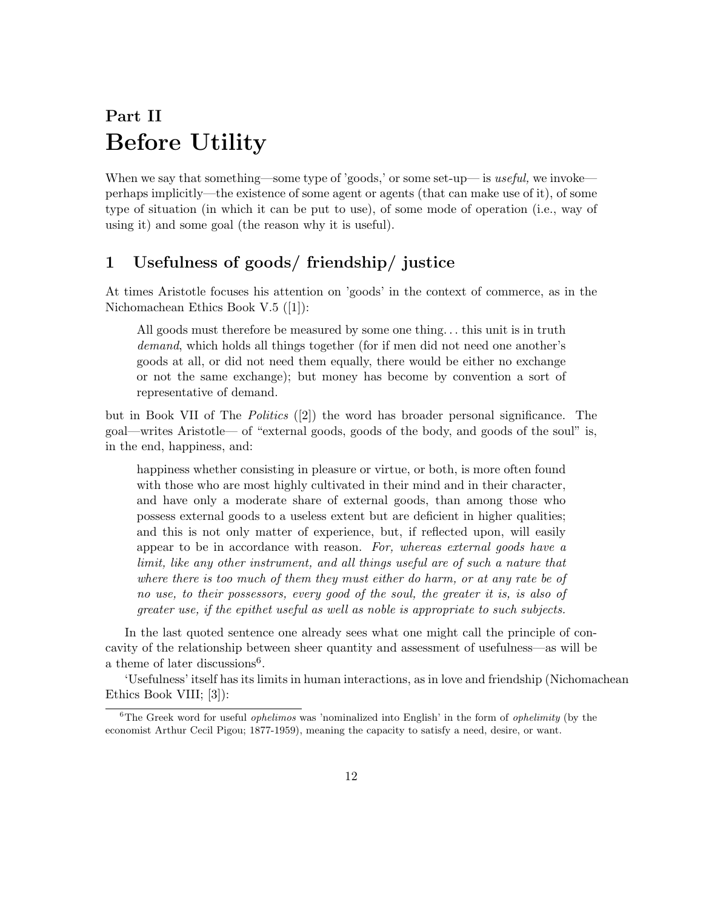# Part II Before Utility

When we say that something—some type of 'goods,' or some set-up— is useful, we invoke perhaps implicitly—the existence of some agent or agents (that can make use of it), of some type of situation (in which it can be put to use), of some mode of operation (i.e., way of using it) and some goal (the reason why it is useful).

## 1 Usefulness of goods/ friendship/ justice

At times Aristotle focuses his attention on 'goods' in the context of commerce, as in the Nichomachean Ethics Book V.5 ([1]):

All goods must therefore be measured by some one thing. . . this unit is in truth demand, which holds all things together (for if men did not need one another's goods at all, or did not need them equally, there would be either no exchange or not the same exchange); but money has become by convention a sort of representative of demand.

but in Book VII of The Politics ([2]) the word has broader personal significance. The goal—writes Aristotle— of "external goods, goods of the body, and goods of the soul" is, in the end, happiness, and:

happiness whether consisting in pleasure or virtue, or both, is more often found with those who are most highly cultivated in their mind and in their character, and have only a moderate share of external goods, than among those who possess external goods to a useless extent but are deficient in higher qualities; and this is not only matter of experience, but, if reflected upon, will easily appear to be in accordance with reason. For, whereas external goods have a limit, like any other instrument, and all things useful are of such a nature that where there is too much of them they must either do harm, or at any rate be of no use, to their possessors, every good of the soul, the greater it is, is also of greater use, if the epithet useful as well as noble is appropriate to such subjects.

In the last quoted sentence one already sees what one might call the principle of concavity of the relationship between sheer quantity and assessment of usefulness—as will be a theme of later discussions<sup>6</sup>.

'Usefulness' itself has its limits in human interactions, as in love and friendship (Nichomachean Ethics Book VIII; [3]):

 ${}^{6}$ The Greek word for useful *ophelimos* was 'nominalized into English' in the form of *ophelimity* (by the economist Arthur Cecil Pigou; 1877-1959), meaning the capacity to satisfy a need, desire, or want.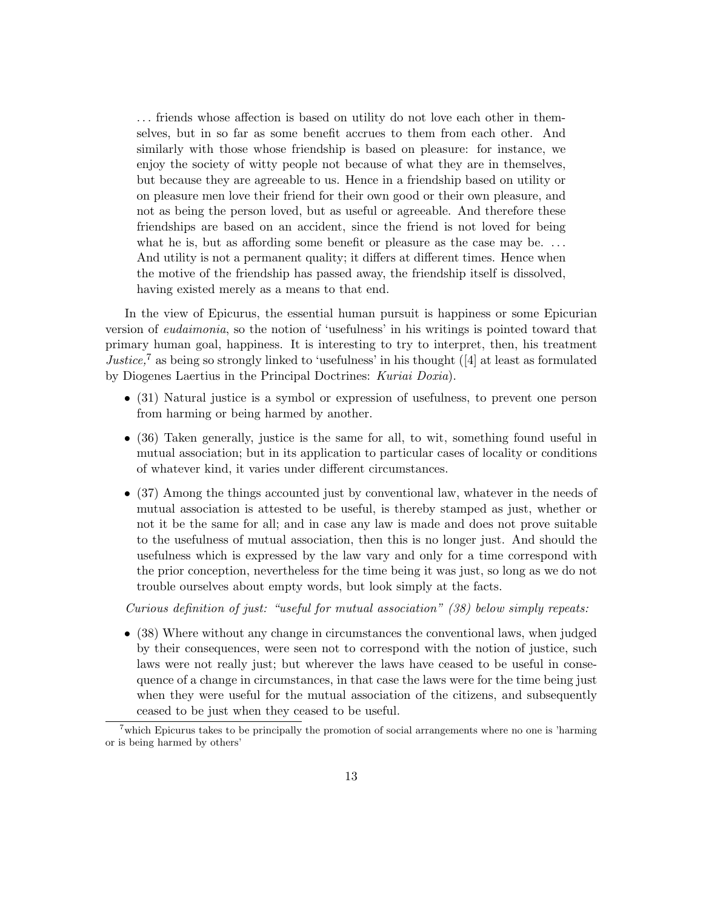. . . friends whose affection is based on utility do not love each other in themselves, but in so far as some benefit accrues to them from each other. And similarly with those whose friendship is based on pleasure: for instance, we enjoy the society of witty people not because of what they are in themselves, but because they are agreeable to us. Hence in a friendship based on utility or on pleasure men love their friend for their own good or their own pleasure, and not as being the person loved, but as useful or agreeable. And therefore these friendships are based on an accident, since the friend is not loved for being what he is, but as affording some benefit or pleasure as the case may be... And utility is not a permanent quality; it differs at different times. Hence when the motive of the friendship has passed away, the friendship itself is dissolved, having existed merely as a means to that end.

In the view of Epicurus, the essential human pursuit is happiness or some Epicurian version of eudaimonia, so the notion of 'usefulness' in his writings is pointed toward that primary human goal, happiness. It is interesting to try to interpret, then, his treatment Justice,<sup>7</sup> as being so strongly linked to 'usefulness' in his thought ([4] at least as formulated by Diogenes Laertius in the Principal Doctrines: Kuriai Doxia).

- (31) Natural justice is a symbol or expression of usefulness, to prevent one person from harming or being harmed by another.
- (36) Taken generally, justice is the same for all, to wit, something found useful in mutual association; but in its application to particular cases of locality or conditions of whatever kind, it varies under different circumstances.
- (37) Among the things accounted just by conventional law, whatever in the needs of mutual association is attested to be useful, is thereby stamped as just, whether or not it be the same for all; and in case any law is made and does not prove suitable to the usefulness of mutual association, then this is no longer just. And should the usefulness which is expressed by the law vary and only for a time correspond with the prior conception, nevertheless for the time being it was just, so long as we do not trouble ourselves about empty words, but look simply at the facts.

Curious definition of just: "useful for mutual association" (38) below simply repeats:

• (38) Where without any change in circumstances the conventional laws, when judged by their consequences, were seen not to correspond with the notion of justice, such laws were not really just; but wherever the laws have ceased to be useful in consequence of a change in circumstances, in that case the laws were for the time being just when they were useful for the mutual association of the citizens, and subsequently ceased to be just when they ceased to be useful.

<sup>&</sup>lt;sup>7</sup>which Epicurus takes to be principally the promotion of social arrangements where no one is 'harming' or is being harmed by others'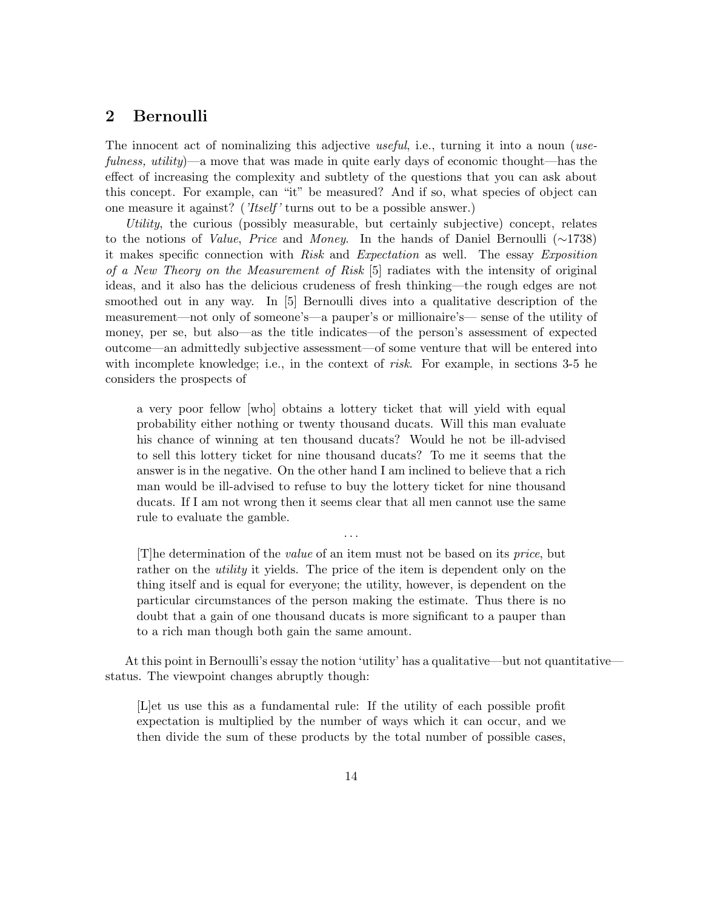### 2 Bernoulli

The innocent act of nominalizing this adjective useful, i.e., turning it into a noun (usefulness, utility)—a move that was made in quite early days of economic thought—has the effect of increasing the complexity and subtlety of the questions that you can ask about this concept. For example, can "it" be measured? And if so, what species of object can one measure it against? (*'Itself'* turns out to be a possible answer.)

Utility, the curious (possibly measurable, but certainly subjective) concept, relates to the notions of Value, Price and Money. In the hands of Daniel Bernoulli (∼1738) it makes specific connection with Risk and Expectation as well. The essay Exposition of a New Theory on the Measurement of Risk [5] radiates with the intensity of original ideas, and it also has the delicious crudeness of fresh thinking—the rough edges are not smoothed out in any way. In [5] Bernoulli dives into a qualitative description of the measurement—not only of someone's—a pauper's or millionaire's— sense of the utility of money, per se, but also—as the title indicates—of the person's assessment of expected outcome—an admittedly subjective assessment—of some venture that will be entered into with incomplete knowledge; i.e., in the context of *risk*. For example, in sections 3-5 he considers the prospects of

a very poor fellow [who] obtains a lottery ticket that will yield with equal probability either nothing or twenty thousand ducats. Will this man evaluate his chance of winning at ten thousand ducats? Would he not be ill-advised to sell this lottery ticket for nine thousand ducats? To me it seems that the answer is in the negative. On the other hand I am inclined to believe that a rich man would be ill-advised to refuse to buy the lottery ticket for nine thousand ducats. If I am not wrong then it seems clear that all men cannot use the same rule to evaluate the gamble.

[T]he determination of the value of an item must not be based on its price, but rather on the utility it yields. The price of the item is dependent only on the thing itself and is equal for everyone; the utility, however, is dependent on the particular circumstances of the person making the estimate. Thus there is no doubt that a gain of one thousand ducats is more significant to a pauper than to a rich man though both gain the same amount.

. . .

At this point in Bernoulli's essay the notion 'utility' has a qualitative—but not quantitative status. The viewpoint changes abruptly though:

[L]et us use this as a fundamental rule: If the utility of each possible profit expectation is multiplied by the number of ways which it can occur, and we then divide the sum of these products by the total number of possible cases,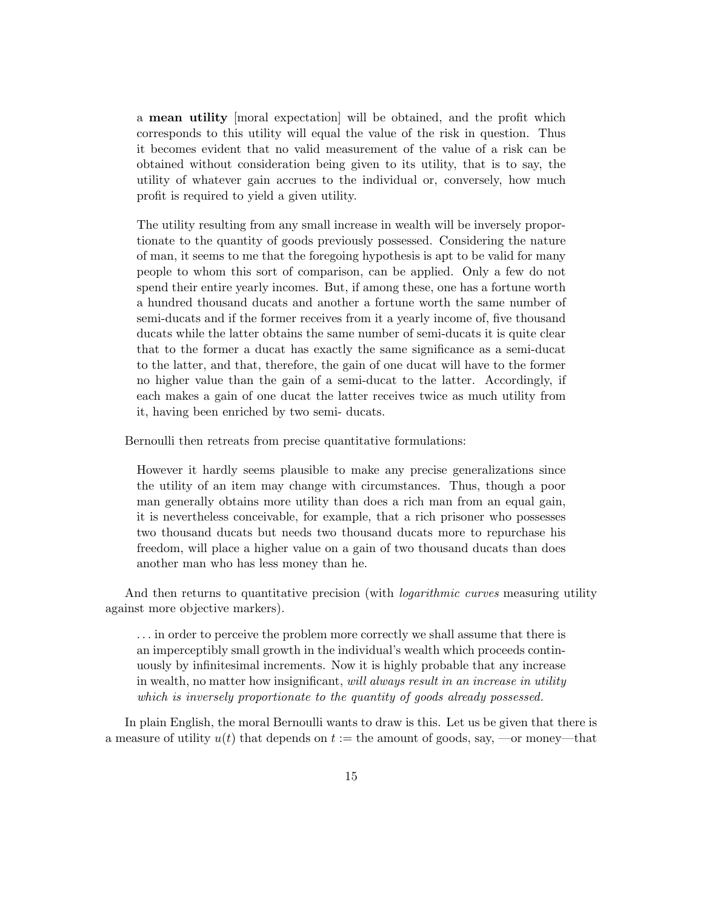a mean utility [moral expectation] will be obtained, and the profit which corresponds to this utility will equal the value of the risk in question. Thus it becomes evident that no valid measurement of the value of a risk can be obtained without consideration being given to its utility, that is to say, the utility of whatever gain accrues to the individual or, conversely, how much profit is required to yield a given utility.

The utility resulting from any small increase in wealth will be inversely proportionate to the quantity of goods previously possessed. Considering the nature of man, it seems to me that the foregoing hypothesis is apt to be valid for many people to whom this sort of comparison, can be applied. Only a few do not spend their entire yearly incomes. But, if among these, one has a fortune worth a hundred thousand ducats and another a fortune worth the same number of semi-ducats and if the former receives from it a yearly income of, five thousand ducats while the latter obtains the same number of semi-ducats it is quite clear that to the former a ducat has exactly the same significance as a semi-ducat to the latter, and that, therefore, the gain of one ducat will have to the former no higher value than the gain of a semi-ducat to the latter. Accordingly, if each makes a gain of one ducat the latter receives twice as much utility from it, having been enriched by two semi- ducats.

Bernoulli then retreats from precise quantitative formulations:

However it hardly seems plausible to make any precise generalizations since the utility of an item may change with circumstances. Thus, though a poor man generally obtains more utility than does a rich man from an equal gain, it is nevertheless conceivable, for example, that a rich prisoner who possesses two thousand ducats but needs two thousand ducats more to repurchase his freedom, will place a higher value on a gain of two thousand ducats than does another man who has less money than he.

And then returns to quantitative precision (with *logarithmic curves* measuring utility against more objective markers).

. . . in order to perceive the problem more correctly we shall assume that there is an imperceptibly small growth in the individual's wealth which proceeds continuously by infinitesimal increments. Now it is highly probable that any increase in wealth, no matter how insignificant, will always result in an increase in utility which is inversely proportionate to the quantity of goods already possessed.

In plain English, the moral Bernoulli wants to draw is this. Let us be given that there is a measure of utility  $u(t)$  that depends on  $t :=$  the amount of goods, say, —or money—that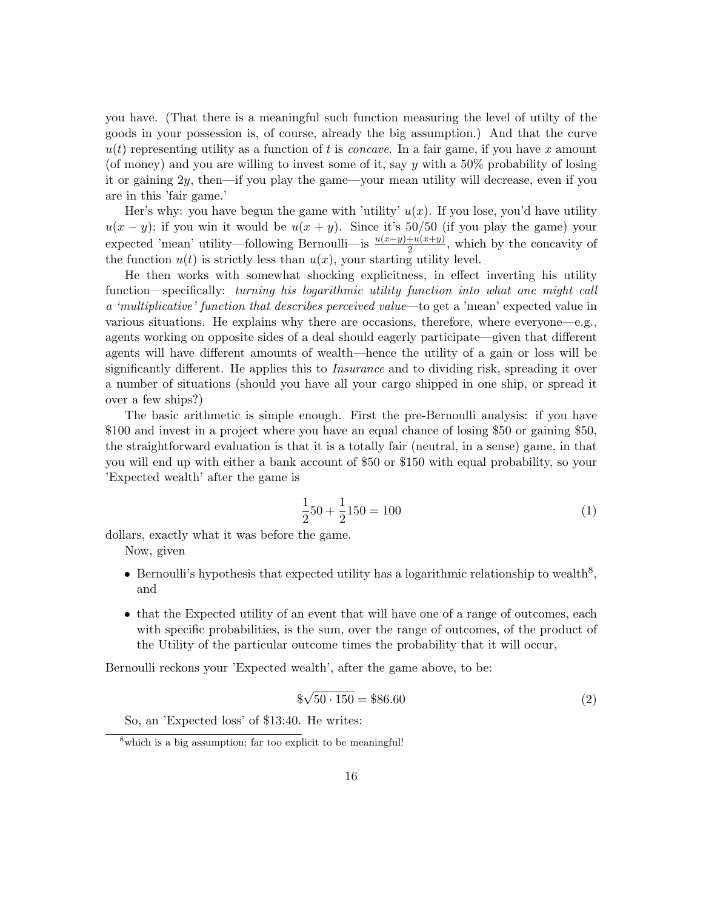you have. (That there is a meaningful such function measuring the level of utilty of the goods in your possession is, of course, already the big assumption.) And that the curve  $u(t)$  representing utility as a function of t is *concave*. In a fair game, if you have x amount (of money) and you are willing to invest some of it, say y with a 50% probability of losing it or gaining 2y, then—if you play the game—your mean utility will decrease, even if you are in this 'fair game.'

Her's why: you have begun the game with 'utility'  $u(x)$ . If you lose, you'd have utility  $u(x - y)$ ; if you win it would be  $u(x + y)$ . Since it's 50/50 (if you play the game) your expected 'mean' utility—following Bernoulli—is  $\frac{u(x-y)+u(x+y)}{2}$ , which by the concavity of the function  $u(t)$  is strictly less than  $u(x)$ , your starting utility level.

He then works with somewhat shocking explicitness, in effect inverting his utility function—specifically: turning his logarithmic utility function into what one might call a 'multiplicative' function that describes perceived value—to get a 'mean' expected value in various situations. He explains why there are occasions, therefore, where everyone—e.g., agents working on opposite sides of a deal should eagerly participate—given that different agents will have different amounts of wealth—hence the utility of a gain or loss will be significantly different. He applies this to *Insurance* and to dividing risk, spreading it over a number of situations (should you have all your cargo shipped in one ship, or spread it over a few ships?)

The basic arithmetic is simple enough. First the pre-Bernoulli analysis: if you have \$100 and invest in a project where you have an equal chance of losing \$50 or gaining \$50, the straightforward evaluation is that it is a totally fair (neutral, in a sense) game, in that you will end up with either a bank account of \$50 or \$150 with equal probability, so your 'Expected wealth' after the game is

$$
\frac{1}{2}50 + \frac{1}{2}150 = 100\tag{1}
$$

dollars, exactly what it was before the game.

Now, given

- Bernoulli's hypothesis that expected utility has a logarithmic relationship to wealth<sup>8</sup>, and
- that the Expected utility of an event that will have one of a range of outcomes, each with specific probabilities, is the sum, over the range of outcomes, of the product of the Utility of the particular outcome times the probability that it will occur,

Bernoulli reckons your 'Expected wealth', after the game above, to be:

$$
\sqrt[6]{50 \cdot 150} = \$86.60\tag{2}
$$

So, an 'Expected loss' of \$13:40. He writes:

<sup>&</sup>lt;sup>8</sup>which is a big assumption; far too explicit to be meaningful!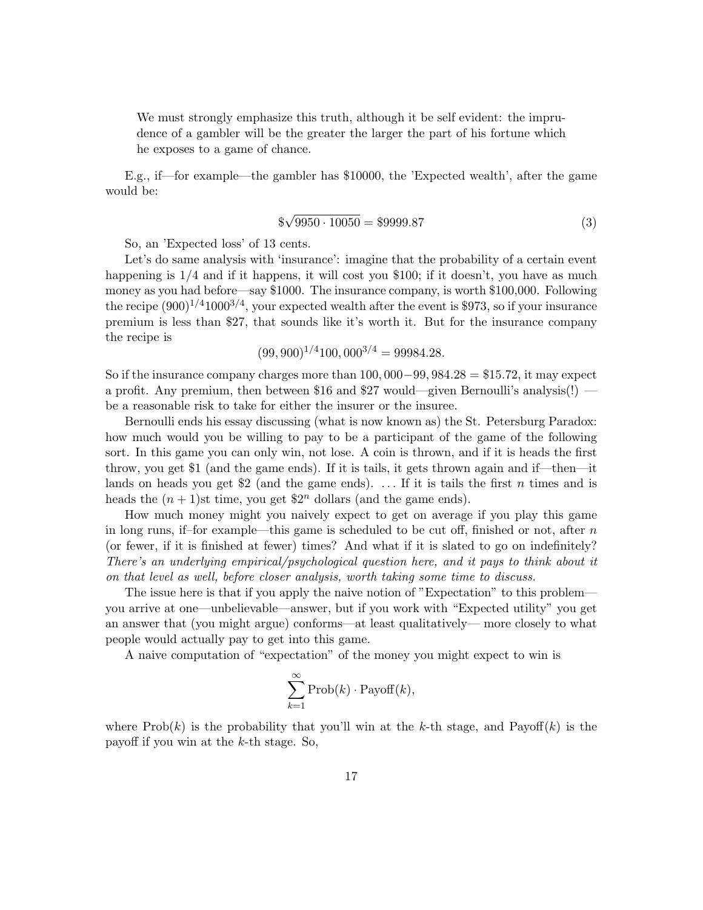We must strongly emphasize this truth, although it be self evident: the imprudence of a gambler will be the greater the larger the part of his fortune which he exposes to a game of chance.

E.g., if—for example—the gambler has \$10000, the 'Expected wealth', after the game would be:

$$
\sqrt[6]{9950 \cdot 10050} = \$9999.87\tag{3}
$$

So, an 'Expected loss' of 13 cents.

Let's do same analysis with 'insurance': imagine that the probability of a certain event happening is  $1/4$  and if it happens, it will cost you \$100; if it doesn't, you have as much money as you had before—say \$1000. The insurance company, is worth \$100,000. Following the recipe  $(900)^{1/4}1000^{3/4}$ , your expected wealth after the event is \$973, so if your insurance premium is less than \$27, that sounds like it's worth it. But for the insurance company the recipe is

$$
(99,900)^{1/4}100,000^{3/4} = 99984.28.
$$

So if the insurance company charges more than  $100,000-99,984.28 = $15.72$ , it may expect a profit. Any premium, then between \$16 and \$27 would—given Bernoulli's analysis(!) be a reasonable risk to take for either the insurer or the insuree.

Bernoulli ends his essay discussing (what is now known as) the St. Petersburg Paradox: how much would you be willing to pay to be a participant of the game of the following sort. In this game you can only win, not lose. A coin is thrown, and if it is heads the first throw, you get \$1 (and the game ends). If it is tails, it gets thrown again and if—then—it lands on heads you get \$2 (and the game ends).  $\dots$  If it is tails the first n times and is heads the  $(n + 1)$ st time, you get \$2<sup>n</sup> dollars (and the game ends).

How much money might you naively expect to get on average if you play this game in long runs, if–for example—this game is scheduled to be cut off, finished or not, after  $n$ (or fewer, if it is finished at fewer) times? And what if it is slated to go on indefinitely? There's an underlying empirical/psychological question here, and it pays to think about it on that level as well, before closer analysis, worth taking some time to discuss.

The issue here is that if you apply the naive notion of "Expectation" to this problem you arrive at one—unbelievable—answer, but if you work with "Expected utility" you get an answer that (you might argue) conforms—at least qualitatively— more closely to what people would actually pay to get into this game.

A naive computation of "expectation" of the money you might expect to win is

$$
\sum_{k=1}^{\infty} \text{Prob}(k) \cdot \text{Payoff}(k),
$$

where  $Prob(k)$  is the probability that you'll win at the k-th stage, and Payoff(k) is the payoff if you win at the k-th stage. So,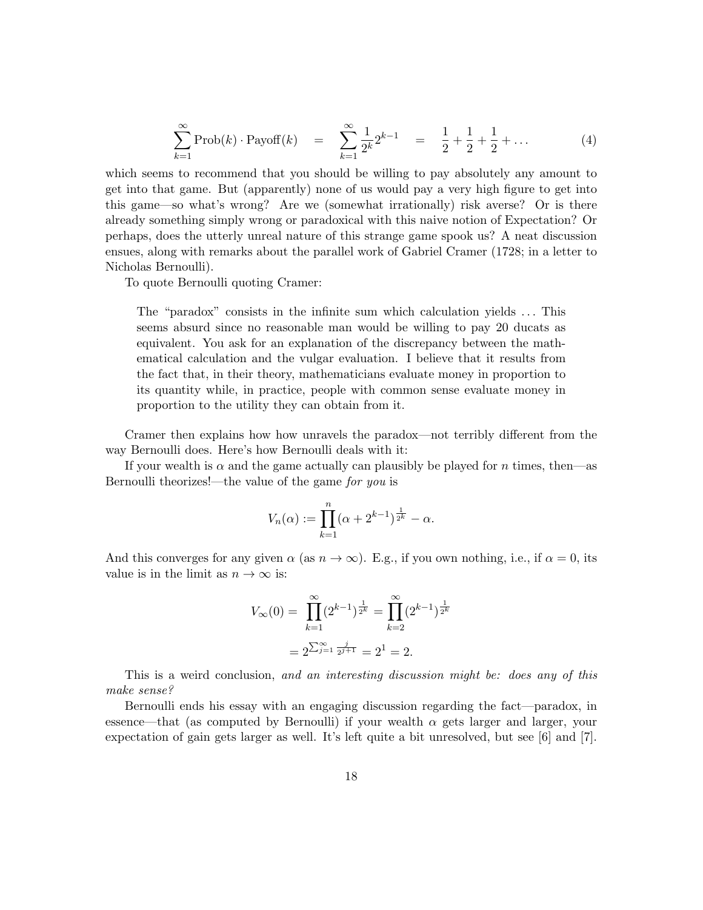$$
\sum_{k=1}^{\infty} \text{Prob}(k) \cdot \text{Payoff}(k) = \sum_{k=1}^{\infty} \frac{1}{2^k} 2^{k-1} = \frac{1}{2} + \frac{1}{2} + \frac{1}{2} + \dots
$$
 (4)

which seems to recommend that you should be willing to pay absolutely any amount to get into that game. But (apparently) none of us would pay a very high figure to get into this game—so what's wrong? Are we (somewhat irrationally) risk averse? Or is there already something simply wrong or paradoxical with this naive notion of Expectation? Or perhaps, does the utterly unreal nature of this strange game spook us? A neat discussion ensues, along with remarks about the parallel work of Gabriel Cramer (1728; in a letter to Nicholas Bernoulli).

To quote Bernoulli quoting Cramer:

The "paradox" consists in the infinite sum which calculation yields . . . This seems absurd since no reasonable man would be willing to pay 20 ducats as equivalent. You ask for an explanation of the discrepancy between the mathematical calculation and the vulgar evaluation. I believe that it results from the fact that, in their theory, mathematicians evaluate money in proportion to its quantity while, in practice, people with common sense evaluate money in proportion to the utility they can obtain from it.

Cramer then explains how how unravels the paradox—not terribly different from the way Bernoulli does. Here's how Bernoulli deals with it:

If your wealth is  $\alpha$  and the game actually can plausibly be played for n times, then—as Bernoulli theorizes!—the value of the game for you is

$$
V_n(\alpha) := \prod_{k=1}^n (\alpha + 2^{k-1})^{\frac{1}{2^k}} - \alpha.
$$

And this converges for any given  $\alpha$  (as  $n \to \infty$ ). E.g., if you own nothing, i.e., if  $\alpha = 0$ , its value is in the limit as  $n \to \infty$  is:

$$
V_{\infty}(0) = \prod_{k=1}^{\infty} (2^{k-1})^{\frac{1}{2^k}} = \prod_{k=2}^{\infty} (2^{k-1})^{\frac{1}{2^k}}
$$

$$
= 2^{\sum_{j=1}^{\infty} \frac{j}{2^{j+1}}} = 2^1 = 2.
$$

This is a weird conclusion, and an interesting discussion might be: does any of this make sense?

Bernoulli ends his essay with an engaging discussion regarding the fact—paradox, in essence—that (as computed by Bernoulli) if your wealth  $\alpha$  gets larger and larger, your expectation of gain gets larger as well. It's left quite a bit unresolved, but see [6] and [7].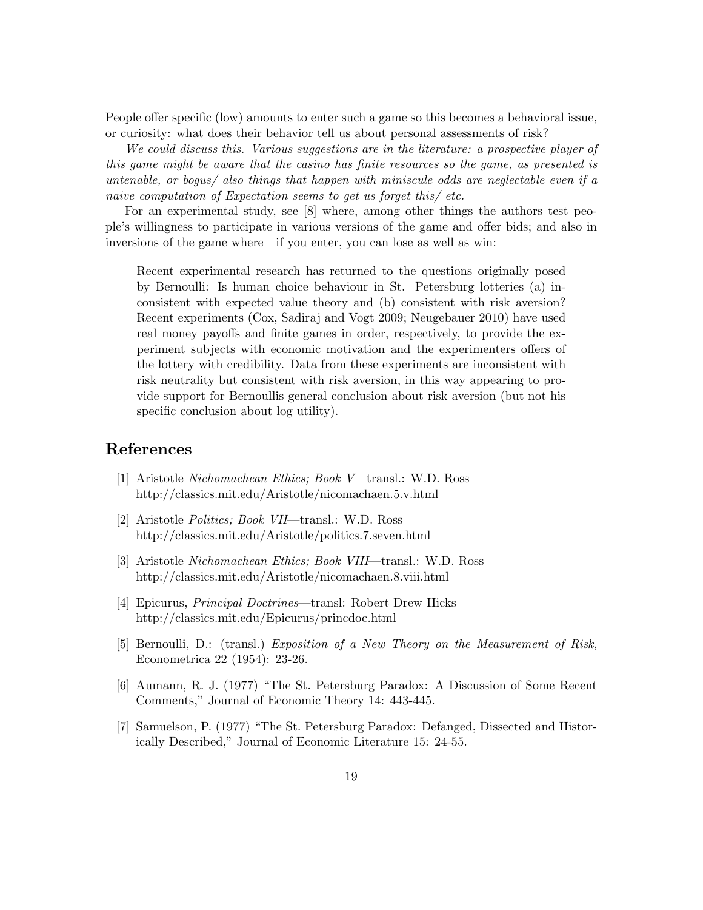People offer specific (low) amounts to enter such a game so this becomes a behavioral issue, or curiosity: what does their behavior tell us about personal assessments of risk?

We could discuss this. Various suggestions are in the literature: a prospective player of this game might be aware that the casino has finite resources so the game, as presented is untenable, or bogus/ also things that happen with miniscule odds are neglectable even if a naive computation of Expectation seems to get us forget this/ etc.

For an experimental study, see [8] where, among other things the authors test people's willingness to participate in various versions of the game and offer bids; and also in inversions of the game where—if you enter, you can lose as well as win:

Recent experimental research has returned to the questions originally posed by Bernoulli: Is human choice behaviour in St. Petersburg lotteries (a) inconsistent with expected value theory and (b) consistent with risk aversion? Recent experiments (Cox, Sadiraj and Vogt 2009; Neugebauer 2010) have used real money payoffs and finite games in order, respectively, to provide the experiment subjects with economic motivation and the experimenters offers of the lottery with credibility. Data from these experiments are inconsistent with risk neutrality but consistent with risk aversion, in this way appearing to provide support for Bernoullis general conclusion about risk aversion (but not his specific conclusion about log utility).

### References

- [1] Aristotle Nichomachean Ethics; Book V—transl.: W.D. Ross http://classics.mit.edu/Aristotle/nicomachaen.5.v.html
- [2] Aristotle Politics; Book VII—transl.: W.D. Ross http://classics.mit.edu/Aristotle/politics.7.seven.html
- [3] Aristotle Nichomachean Ethics; Book VIII—transl.: W.D. Ross http://classics.mit.edu/Aristotle/nicomachaen.8.viii.html
- [4] Epicurus, Principal Doctrines—transl: Robert Drew Hicks http://classics.mit.edu/Epicurus/princdoc.html
- [5] Bernoulli, D.: (transl.) Exposition of a New Theory on the Measurement of Risk, Econometrica 22 (1954): 23-26.
- [6] Aumann, R. J. (1977) "The St. Petersburg Paradox: A Discussion of Some Recent Comments," Journal of Economic Theory 14: 443-445.
- [7] Samuelson, P. (1977) "The St. Petersburg Paradox: Defanged, Dissected and Historically Described," Journal of Economic Literature 15: 24-55.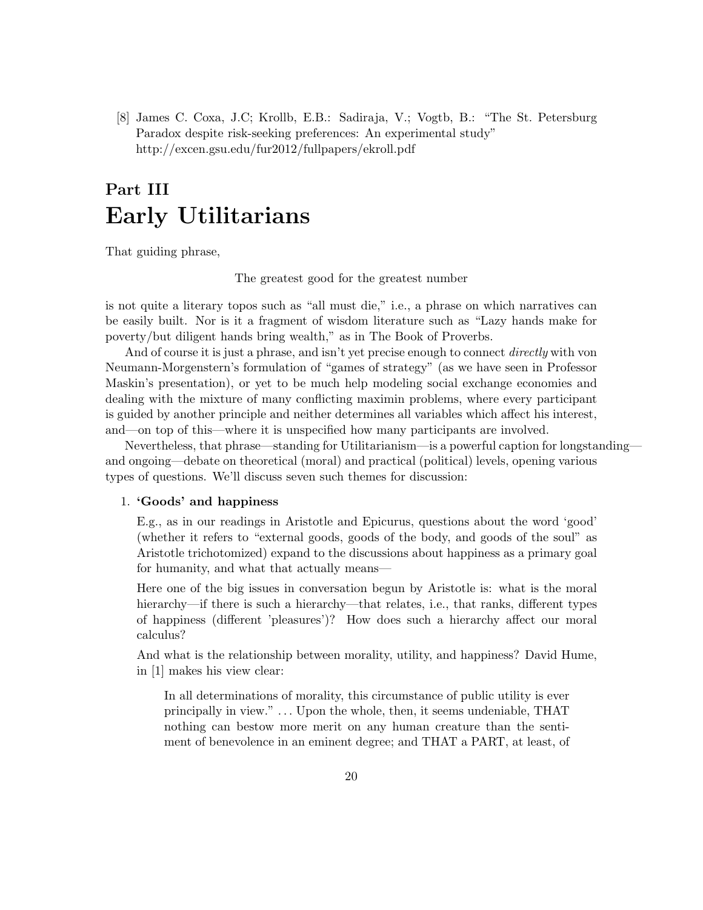[8] James C. Coxa, J.C; Krollb, E.B.: Sadiraja, V.; Vogtb, B.: "The St. Petersburg Paradox despite risk-seeking preferences: An experimental study" http://excen.gsu.edu/fur2012/fullpapers/ekroll.pdf

## Part III Early Utilitarians

That guiding phrase,

The greatest good for the greatest number

is not quite a literary topos such as "all must die," i.e., a phrase on which narratives can be easily built. Nor is it a fragment of wisdom literature such as "Lazy hands make for poverty/but diligent hands bring wealth," as in The Book of Proverbs.

And of course it is just a phrase, and isn't yet precise enough to connect *directly* with von Neumann-Morgenstern's formulation of "games of strategy" (as we have seen in Professor Maskin's presentation), or yet to be much help modeling social exchange economies and dealing with the mixture of many conflicting maximin problems, where every participant is guided by another principle and neither determines all variables which affect his interest, and—on top of this—where it is unspecified how many participants are involved.

Nevertheless, that phrase—standing for Utilitarianism—is a powerful caption for longstanding and ongoing—debate on theoretical (moral) and practical (political) levels, opening various types of questions. We'll discuss seven such themes for discussion:

#### 1. 'Goods' and happiness

E.g., as in our readings in Aristotle and Epicurus, questions about the word 'good' (whether it refers to "external goods, goods of the body, and goods of the soul" as Aristotle trichotomized) expand to the discussions about happiness as a primary goal for humanity, and what that actually means-

Here one of the big issues in conversation begun by Aristotle is: what is the moral hierarchy—if there is such a hierarchy—that relates, i.e., that ranks, different types of happiness (different 'pleasures')? How does such a hierarchy affect our moral calculus?

And what is the relationship between morality, utility, and happiness? David Hume, in [1] makes his view clear:

In all determinations of morality, this circumstance of public utility is ever principally in view." . . . Upon the whole, then, it seems undeniable, THAT nothing can bestow more merit on any human creature than the sentiment of benevolence in an eminent degree; and THAT a PART, at least, of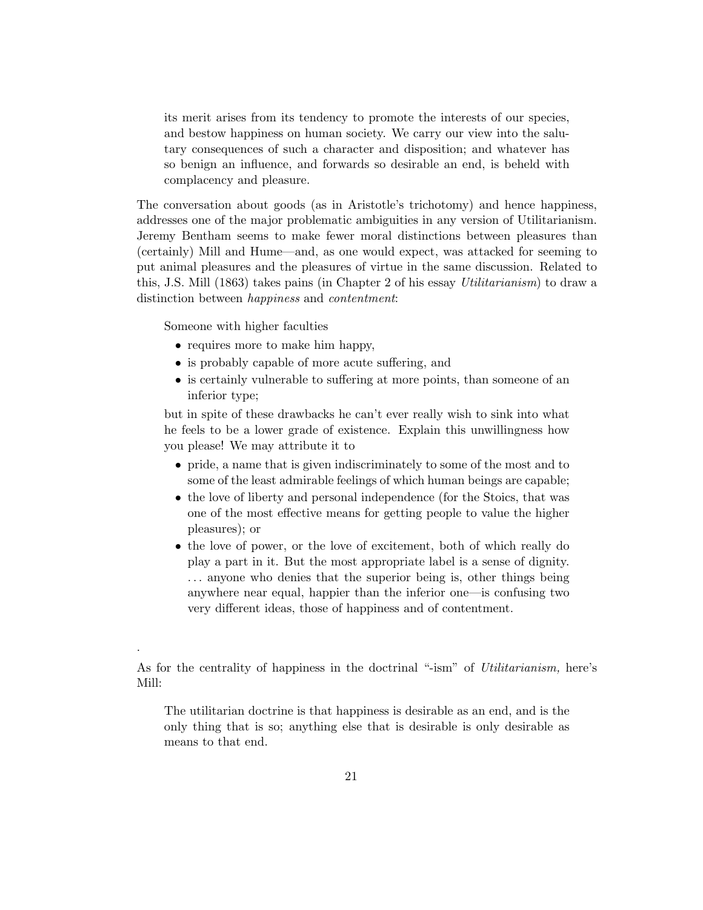its merit arises from its tendency to promote the interests of our species, and bestow happiness on human society. We carry our view into the salutary consequences of such a character and disposition; and whatever has so benign an influence, and forwards so desirable an end, is beheld with complacency and pleasure.

The conversation about goods (as in Aristotle's trichotomy) and hence happiness, addresses one of the major problematic ambiguities in any version of Utilitarianism. Jeremy Bentham seems to make fewer moral distinctions between pleasures than (certainly) Mill and Hume—and, as one would expect, was attacked for seeming to put animal pleasures and the pleasures of virtue in the same discussion. Related to this, J.S. Mill (1863) takes pains (in Chapter 2 of his essay Utilitarianism) to draw a distinction between *happiness* and *contentment*:

Someone with higher faculties

.

- requires more to make him happy,
- is probably capable of more acute suffering, and
- is certainly vulnerable to suffering at more points, than someone of an inferior type;

but in spite of these drawbacks he can't ever really wish to sink into what he feels to be a lower grade of existence. Explain this unwillingness how you please! We may attribute it to

- pride, a name that is given indiscriminately to some of the most and to some of the least admirable feelings of which human beings are capable;
- the love of liberty and personal independence (for the Stoics, that was one of the most effective means for getting people to value the higher pleasures); or
- the love of power, or the love of excitement, both of which really do play a part in it. But the most appropriate label is a sense of dignity. ... anyone who denies that the superior being is, other things being anywhere near equal, happier than the inferior one—is confusing two very different ideas, those of happiness and of contentment.

As for the centrality of happiness in the doctrinal "-ism" of Utilitarianism, here's Mill:

The utilitarian doctrine is that happiness is desirable as an end, and is the only thing that is so; anything else that is desirable is only desirable as means to that end.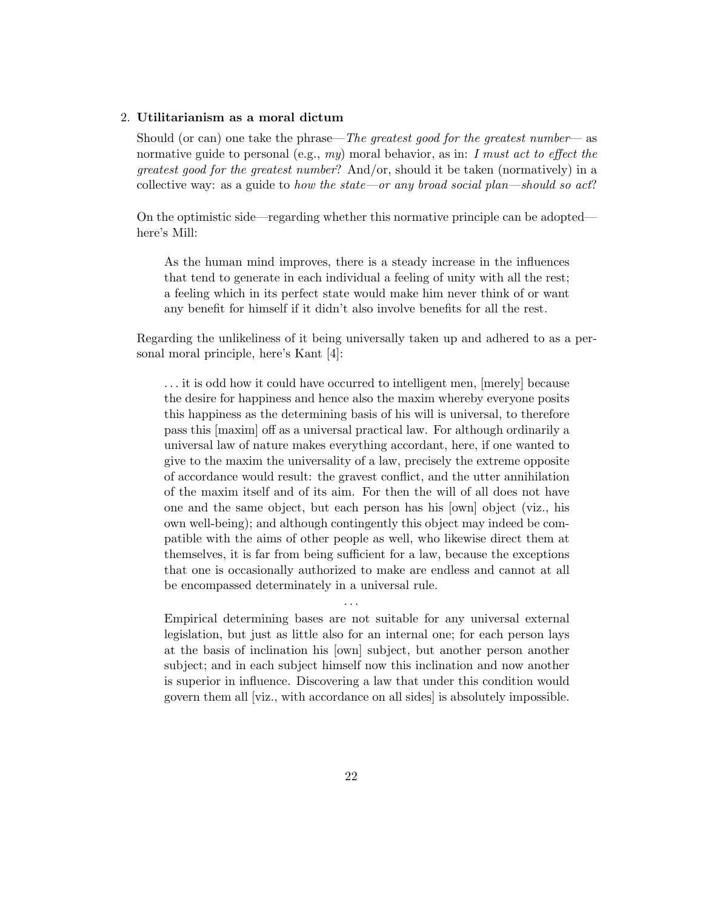#### 2. Utilitarianism as a moral dictum

Should (or can) one take the phrase—The greatest good for the greatest number— as normative guide to personal (e.g.,  $my$ ) moral behavior, as in: I must act to effect the greatest good for the greatest number? And/or, should it be taken (normatively) in a collective way: as a guide to *how the state—or any broad social plan—should so act*?

On the optimistic side—regarding whether this normative principle can be adopted here's Mill:

As the human mind improves, there is a steady increase in the influences that tend to generate in each individual a feeling of unity with all the rest; a feeling which in its perfect state would make him never think of or want any benefit for himself if it didn't also involve benefits for all the rest.

Regarding the unlikeliness of it being universally taken up and adhered to as a personal moral principle, here's Kant [4]:

. . . it is odd how it could have occurred to intelligent men, [merely] because the desire for happiness and hence also the maxim whereby everyone posits this happiness as the determining basis of his will is universal, to therefore pass this [maxim] off as a universal practical law. For although ordinarily a universal law of nature makes everything accordant, here, if one wanted to give to the maxim the universality of a law, precisely the extreme opposite of accordance would result: the gravest conflict, and the utter annihilation of the maxim itself and of its aim. For then the will of all does not have one and the same object, but each person has his [own] object (viz., his own well-being); and although contingently this object may indeed be compatible with the aims of other people as well, who likewise direct them at themselves, it is far from being sufficient for a law, because the exceptions that one is occasionally authorized to make are endless and cannot at all be encompassed determinately in a universal rule.

Empirical determining bases are not suitable for any universal external legislation, but just as little also for an internal one; for each person lays at the basis of inclination his [own] subject, but another person another subject; and in each subject himself now this inclination and now another is superior in influence. Discovering a law that under this condition would govern them all [viz., with accordance on all sides] is absolutely impossible.

. . .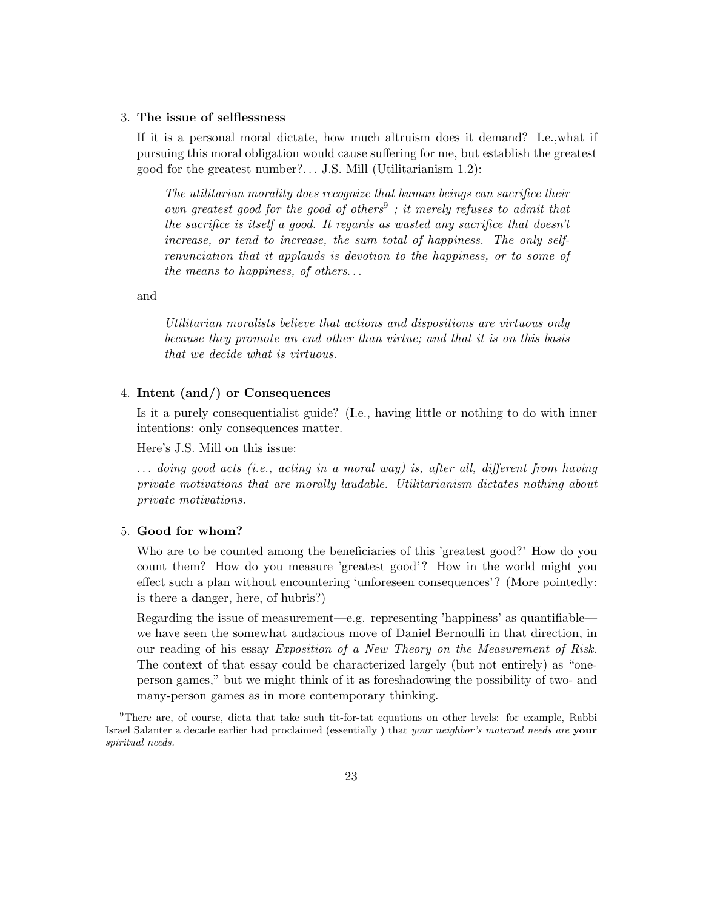#### 3. The issue of selflessness

If it is a personal moral dictate, how much altruism does it demand? I.e.,what if pursuing this moral obligation would cause suffering for me, but establish the greatest good for the greatest number?. . . J.S. Mill (Utilitarianism 1.2):

The utilitarian morality does recognize that human beings can sacrifice their own greatest good for the good of others<sup>9</sup>; it merely refuses to admit that the sacrifice is itself a good. It regards as wasted any sacrifice that doesn't increase, or tend to increase, the sum total of happiness. The only selfrenunciation that it applauds is devotion to the happiness, or to some of the means to happiness, of others. . .

and

Utilitarian moralists believe that actions and dispositions are virtuous only because they promote an end other than virtue; and that it is on this basis that we decide what is virtuous.

#### 4. Intent (and/) or Consequences

Is it a purely consequentialist guide? (I.e., having little or nothing to do with inner intentions: only consequences matter.

Here's J.S. Mill on this issue:

 $\ldots$  doing good acts (i.e., acting in a moral way) is, after all, different from having private motivations that are morally laudable. Utilitarianism dictates nothing about private motivations.

#### 5. Good for whom?

Who are to be counted among the beneficiaries of this 'greatest good?' How do you count them? How do you measure 'greatest good'? How in the world might you effect such a plan without encountering 'unforeseen consequences'? (More pointedly: is there a danger, here, of hubris?)

Regarding the issue of measurement—e.g. representing 'happiness' as quantifiable we have seen the somewhat audacious move of Daniel Bernoulli in that direction, in our reading of his essay Exposition of a New Theory on the Measurement of Risk. The context of that essay could be characterized largely (but not entirely) as "oneperson games," but we might think of it as foreshadowing the possibility of two- and many-person games as in more contemporary thinking.

<sup>&</sup>lt;sup>9</sup>There are, of course, dicta that take such tit-for-tat equations on other levels: for example, Rabbi Israel Salanter a decade earlier had proclaimed (essentially ) that your neighbor's material needs are your spiritual needs.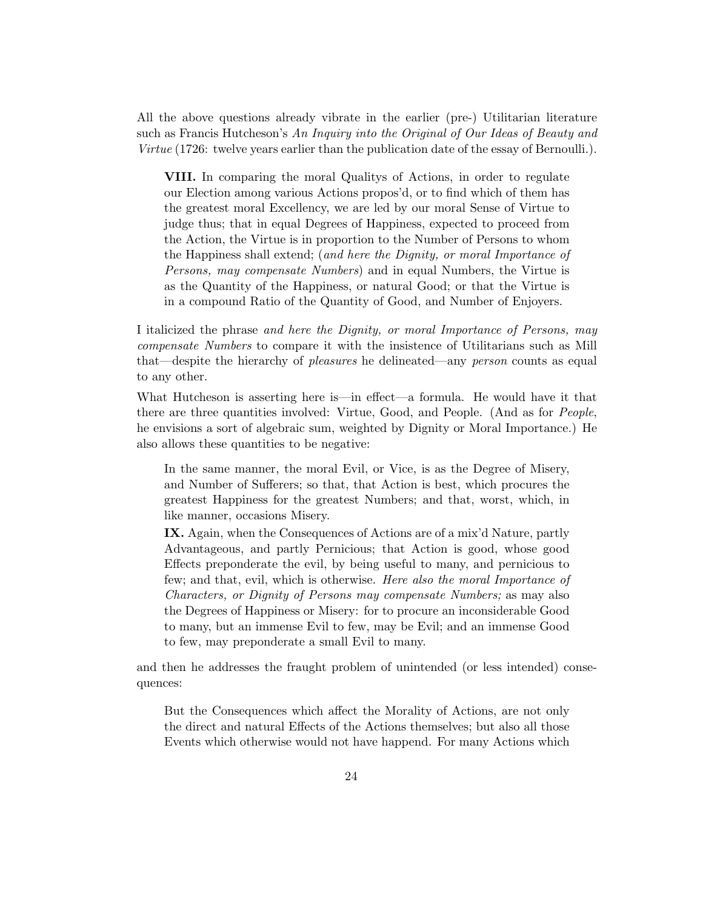All the above questions already vibrate in the earlier (pre-) Utilitarian literature such as Francis Hutcheson's An Inquiry into the Original of Our Ideas of Beauty and Virtue (1726: twelve years earlier than the publication date of the essay of Bernoulli.).

VIII. In comparing the moral Qualitys of Actions, in order to regulate our Election among various Actions propos'd, or to find which of them has the greatest moral Excellency, we are led by our moral Sense of Virtue to judge thus; that in equal Degrees of Happiness, expected to proceed from the Action, the Virtue is in proportion to the Number of Persons to whom the Happiness shall extend; (and here the Dignity, or moral Importance of Persons, may compensate Numbers) and in equal Numbers, the Virtue is as the Quantity of the Happiness, or natural Good; or that the Virtue is in a compound Ratio of the Quantity of Good, and Number of Enjoyers.

I italicized the phrase and here the Dignity, or moral Importance of Persons, may compensate Numbers to compare it with the insistence of Utilitarians such as Mill that—despite the hierarchy of pleasures he delineated—any person counts as equal to any other.

What Hutcheson is asserting here is—in effect—a formula. He would have it that there are three quantities involved: Virtue, Good, and People. (And as for People, he envisions a sort of algebraic sum, weighted by Dignity or Moral Importance.) He also allows these quantities to be negative:

In the same manner, the moral Evil, or Vice, is as the Degree of Misery, and Number of Sufferers; so that, that Action is best, which procures the greatest Happiness for the greatest Numbers; and that, worst, which, in like manner, occasions Misery.

IX. Again, when the Consequences of Actions are of a mix'd Nature, partly Advantageous, and partly Pernicious; that Action is good, whose good Effects preponderate the evil, by being useful to many, and pernicious to few; and that, evil, which is otherwise. Here also the moral Importance of Characters, or Dignity of Persons may compensate Numbers; as may also the Degrees of Happiness or Misery: for to procure an inconsiderable Good to many, but an immense Evil to few, may be Evil; and an immense Good to few, may preponderate a small Evil to many.

and then he addresses the fraught problem of unintended (or less intended) consequences:

But the Consequences which affect the Morality of Actions, are not only the direct and natural Effects of the Actions themselves; but also all those Events which otherwise would not have happend. For many Actions which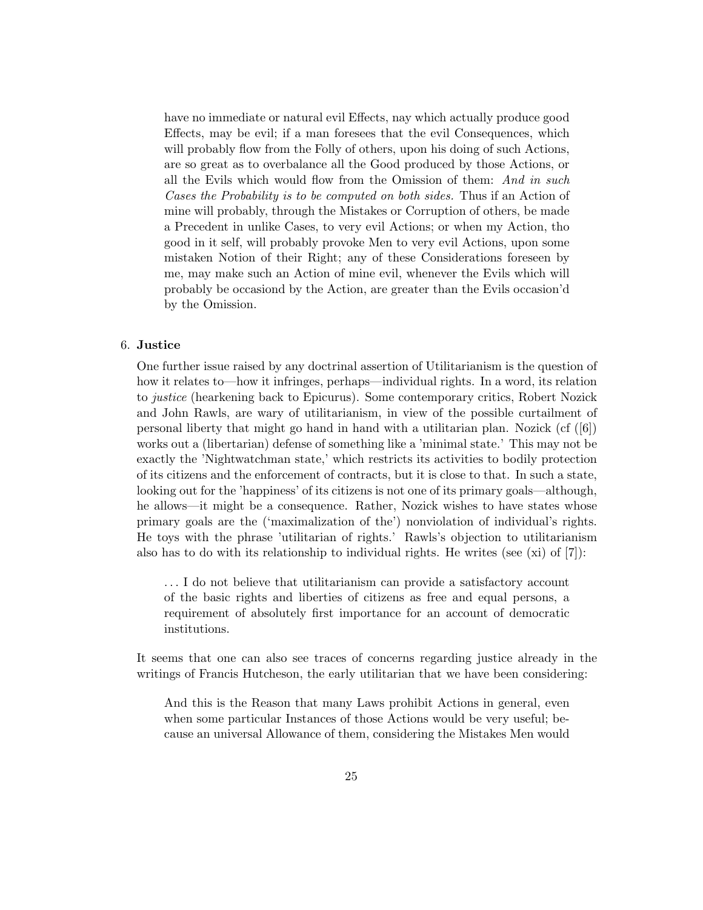have no immediate or natural evil Effects, nay which actually produce good Effects, may be evil; if a man foresees that the evil Consequences, which will probably flow from the Folly of others, upon his doing of such Actions, are so great as to overbalance all the Good produced by those Actions, or all the Evils which would flow from the Omission of them: And in such Cases the Probability is to be computed on both sides. Thus if an Action of mine will probably, through the Mistakes or Corruption of others, be made a Precedent in unlike Cases, to very evil Actions; or when my Action, tho good in it self, will probably provoke Men to very evil Actions, upon some mistaken Notion of their Right; any of these Considerations foreseen by me, may make such an Action of mine evil, whenever the Evils which will probably be occasiond by the Action, are greater than the Evils occasion'd by the Omission.

#### 6. Justice

One further issue raised by any doctrinal assertion of Utilitarianism is the question of how it relates to—how it infringes, perhaps—individual rights. In a word, its relation to justice (hearkening back to Epicurus). Some contemporary critics, Robert Nozick and John Rawls, are wary of utilitarianism, in view of the possible curtailment of personal liberty that might go hand in hand with a utilitarian plan. Nozick  $(cf (6))$ works out a (libertarian) defense of something like a 'minimal state.' This may not be exactly the 'Nightwatchman state,' which restricts its activities to bodily protection of its citizens and the enforcement of contracts, but it is close to that. In such a state, looking out for the 'happiness' of its citizens is not one of its primary goals—although, he allows—it might be a consequence. Rather, Nozick wishes to have states whose primary goals are the ('maximalization of the') nonviolation of individual's rights. He toys with the phrase 'utilitarian of rights.' Rawls's objection to utilitarianism also has to do with its relationship to individual rights. He writes (see (xi) of  $[7]$ ):

. . . I do not believe that utilitarianism can provide a satisfactory account of the basic rights and liberties of citizens as free and equal persons, a requirement of absolutely first importance for an account of democratic institutions.

It seems that one can also see traces of concerns regarding justice already in the writings of Francis Hutcheson, the early utilitarian that we have been considering:

And this is the Reason that many Laws prohibit Actions in general, even when some particular Instances of those Actions would be very useful; because an universal Allowance of them, considering the Mistakes Men would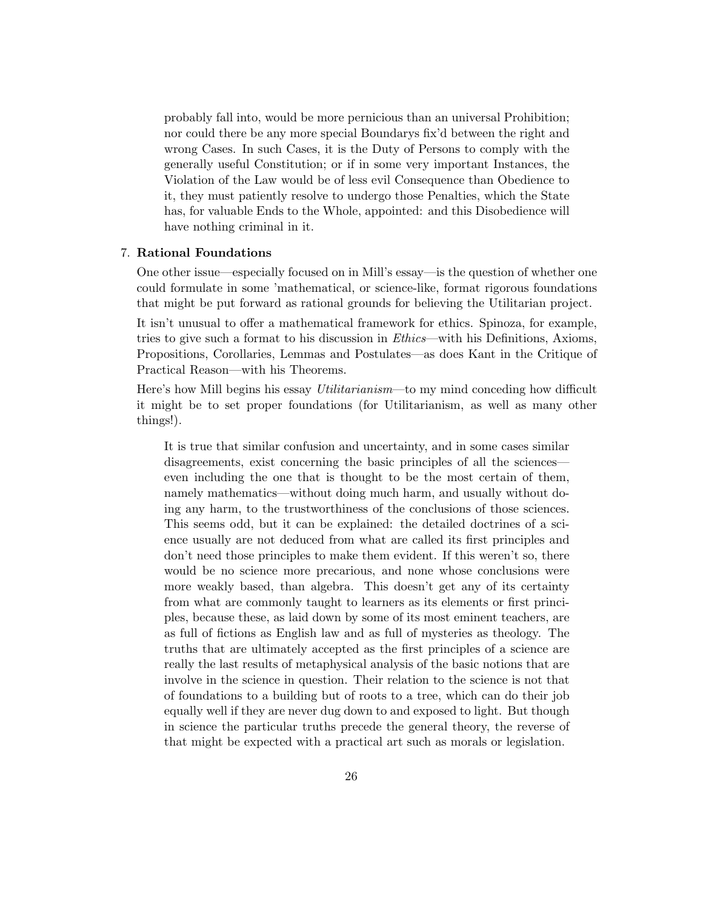probably fall into, would be more pernicious than an universal Prohibition; nor could there be any more special Boundarys fix'd between the right and wrong Cases. In such Cases, it is the Duty of Persons to comply with the generally useful Constitution; or if in some very important Instances, the Violation of the Law would be of less evil Consequence than Obedience to it, they must patiently resolve to undergo those Penalties, which the State has, for valuable Ends to the Whole, appointed: and this Disobedience will have nothing criminal in it.

#### 7. Rational Foundations

One other issue—especially focused on in Mill's essay—is the question of whether one could formulate in some 'mathematical, or science-like, format rigorous foundations that might be put forward as rational grounds for believing the Utilitarian project.

It isn't unusual to offer a mathematical framework for ethics. Spinoza, for example, tries to give such a format to his discussion in Ethics—with his Definitions, Axioms, Propositions, Corollaries, Lemmas and Postulates—as does Kant in the Critique of Practical Reason—with his Theorems.

Here's how Mill begins his essay *Utilitarianism*—to my mind conceding how difficult it might be to set proper foundations (for Utilitarianism, as well as many other things!).

It is true that similar confusion and uncertainty, and in some cases similar disagreements, exist concerning the basic principles of all the sciences even including the one that is thought to be the most certain of them, namely mathematics—without doing much harm, and usually without doing any harm, to the trustworthiness of the conclusions of those sciences. This seems odd, but it can be explained: the detailed doctrines of a science usually are not deduced from what are called its first principles and don't need those principles to make them evident. If this weren't so, there would be no science more precarious, and none whose conclusions were more weakly based, than algebra. This doesn't get any of its certainty from what are commonly taught to learners as its elements or first principles, because these, as laid down by some of its most eminent teachers, are as full of fictions as English law and as full of mysteries as theology. The truths that are ultimately accepted as the first principles of a science are really the last results of metaphysical analysis of the basic notions that are involve in the science in question. Their relation to the science is not that of foundations to a building but of roots to a tree, which can do their job equally well if they are never dug down to and exposed to light. But though in science the particular truths precede the general theory, the reverse of that might be expected with a practical art such as morals or legislation.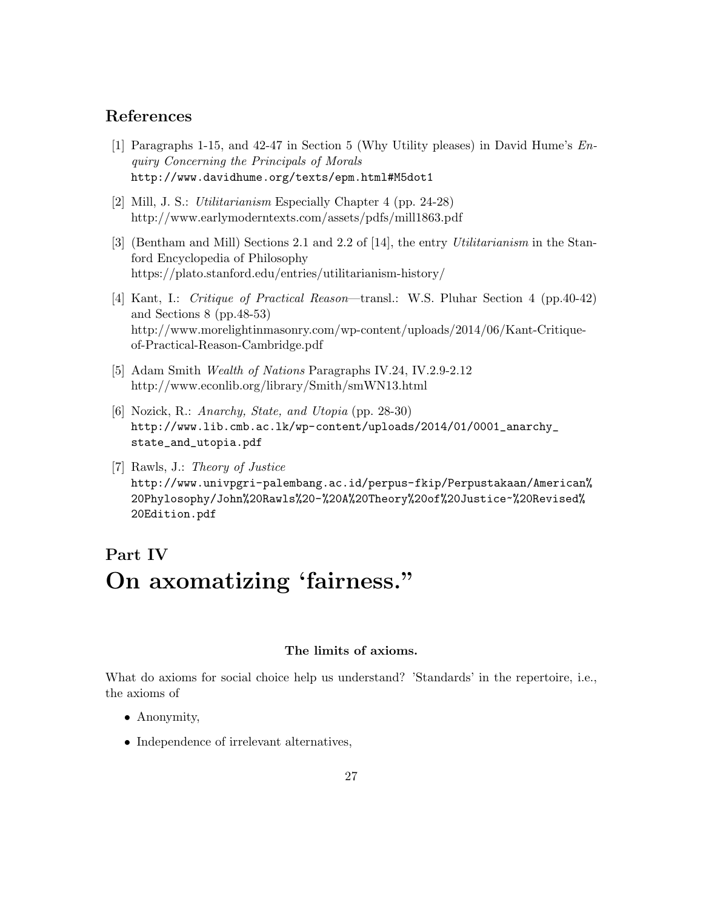## References

- [1] Paragraphs 1-15, and 42-47 in Section 5 (Why Utility pleases) in David Hume's Enquiry Concerning the Principals of Morals http://www.davidhume.org/texts/epm.html#M5dot1
- [2] Mill, J. S.: Utilitarianism Especially Chapter 4 (pp. 24-28) http://www.earlymoderntexts.com/assets/pdfs/mill1863.pdf
- [3] (Bentham and Mill) Sections 2.1 and 2.2 of [14], the entry Utilitarianism in the Stanford Encyclopedia of Philosophy https://plato.stanford.edu/entries/utilitarianism-history/
- [4] Kant, I.: Critique of Practical Reason—transl.: W.S. Pluhar Section 4 (pp.40-42) and Sections 8 (pp.48-53) http://www.morelightinmasonry.com/wp-content/uploads/2014/06/Kant-Critiqueof-Practical-Reason-Cambridge.pdf
- [5] Adam Smith Wealth of Nations Paragraphs IV.24, IV.2.9-2.12 http://www.econlib.org/library/Smith/smWN13.html
- [6] Nozick, R.: Anarchy, State, and Utopia (pp. 28-30) http://www.lib.cmb.ac.lk/wp-content/uploads/2014/01/0001\_anarchy\_ state\_and\_utopia.pdf
- [7] Rawls, J.: Theory of Justice http://www.univpgri-palembang.ac.id/perpus-fkip/Perpustakaan/American% 20Phylosophy/John%20Rawls%20-%20A%20Theory%20of%20Justice~%20Revised% 20Edition.pdf

## Part IV On axomatizing 'fairness."

#### The limits of axioms.

What do axioms for social choice help us understand? 'Standards' in the repertoire, i.e., the axioms of

- Anonymity,
- Independence of irrelevant alternatives,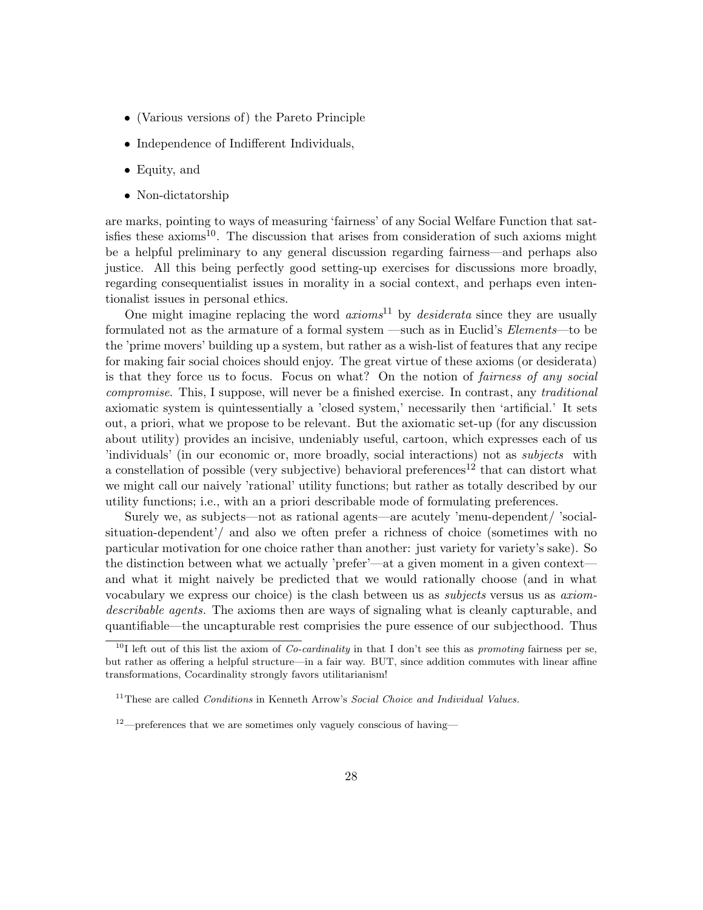- (Various versions of) the Pareto Principle
- Independence of Indifferent Individuals,
- Equity, and
- Non-dictatorship

are marks, pointing to ways of measuring 'fairness' of any Social Welfare Function that satisfies these axioms<sup>10</sup>. The discussion that arises from consideration of such axioms might be a helpful preliminary to any general discussion regarding fairness—and perhaps also justice. All this being perfectly good setting-up exercises for discussions more broadly, regarding consequentialist issues in morality in a social context, and perhaps even intentionalist issues in personal ethics.

One might imagine replacing the word  $axioms<sup>11</sup>$  by desiderata since they are usually formulated not as the armature of a formal system —such as in Euclid's Elements—to be the 'prime movers' building up a system, but rather as a wish-list of features that any recipe for making fair social choices should enjoy. The great virtue of these axioms (or desiderata) is that they force us to focus. Focus on what? On the notion of fairness of any social compromise. This, I suppose, will never be a finished exercise. In contrast, any traditional axiomatic system is quintessentially a 'closed system,' necessarily then 'artificial.' It sets out, a priori, what we propose to be relevant. But the axiomatic set-up (for any discussion about utility) provides an incisive, undeniably useful, cartoon, which expresses each of us 'individuals' (in our economic or, more broadly, social interactions) not as subjects with a constellation of possible (very subjective) behavioral preferences<sup>12</sup> that can distort what we might call our naively 'rational' utility functions; but rather as totally described by our utility functions; i.e., with an a priori describable mode of formulating preferences.

Surely we, as subjects—not as rational agents—are acutely 'menu-dependent/ 'socialsituation-dependent'/ and also we often prefer a richness of choice (sometimes with no particular motivation for one choice rather than another: just variety for variety's sake). So the distinction between what we actually 'prefer'—at a given moment in a given context and what it might naively be predicted that we would rationally choose (and in what vocabulary we express our choice) is the clash between us as subjects versus us as axiomdescribable agents. The axioms then are ways of signaling what is cleanly capturable, and quantifiable—the uncapturable rest comprisies the pure essence of our subjecthood. Thus

<sup>&</sup>lt;sup>10</sup>I left out of this list the axiom of *Co-cardinality* in that I don't see this as *promoting* fairness per se, but rather as offering a helpful structure—in a fair way. BUT, since addition commutes with linear affine transformations, Cocardinality strongly favors utilitarianism!

 $11$ These are called *Conditions* in Kenneth Arrow's *Social Choice and Individual Values.* 

 $12$ —preferences that we are sometimes only vaguely conscious of having—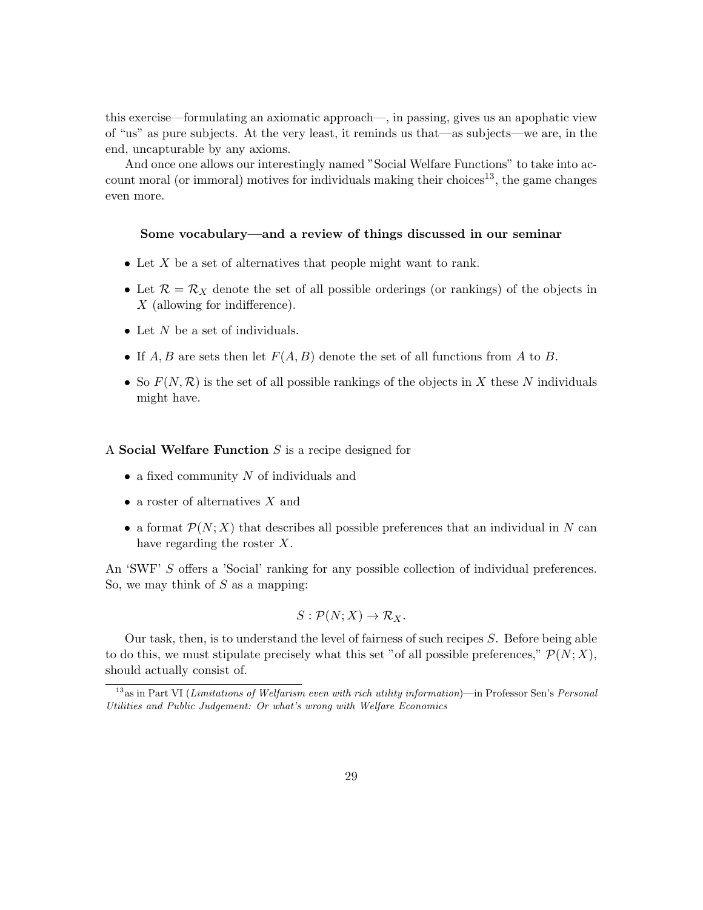this exercise—formulating an axiomatic approach—, in passing, gives us an apophatic view of "us" as pure subjects. At the very least, it reminds us that—as subjects—we are, in the end, uncapturable by any axioms.

And once one allows our interestingly named "Social Welfare Functions" to take into account moral (or immoral) motives for individuals making their choices<sup>13</sup>, the game changes even more.

#### Some vocabulary—and a review of things discussed in our seminar

- Let X be a set of alternatives that people might want to rank.
- Let  $\mathcal{R} = \mathcal{R}_X$  denote the set of all possible orderings (or rankings) of the objects in X (allowing for indifference).
- Let  $N$  be a set of individuals.
- If  $A, B$  are sets then let  $F(A, B)$  denote the set of all functions from A to B.
- So  $F(N, \mathcal{R})$  is the set of all possible rankings of the objects in X these N individuals might have.

A Social Welfare Function  $S$  is a recipe designed for

- a fixed community  $N$  of individuals and
- a roster of alternatives  $X$  and
- a format  $\mathcal{P}(N;X)$  that describes all possible preferences that an individual in N can have regarding the roster  $X$ .

An 'SWF' S offers a 'Social' ranking for any possible collection of individual preferences. So, we may think of  $S$  as a mapping:

$$
S: \mathcal{P}(N;X) \to \mathcal{R}_X.
$$

Our task, then, is to understand the level of fairness of such recipes S. Before being able to do this, we must stipulate precisely what this set "of all possible preferences,"  $\mathcal{P}(N;X)$ , should actually consist of.

 $13$ as in Part VI (Limitations of Welfarism even with rich utility information)—in Professor Sen's Personal Utilities and Public Judgement: Or what's wrong with Welfare Economics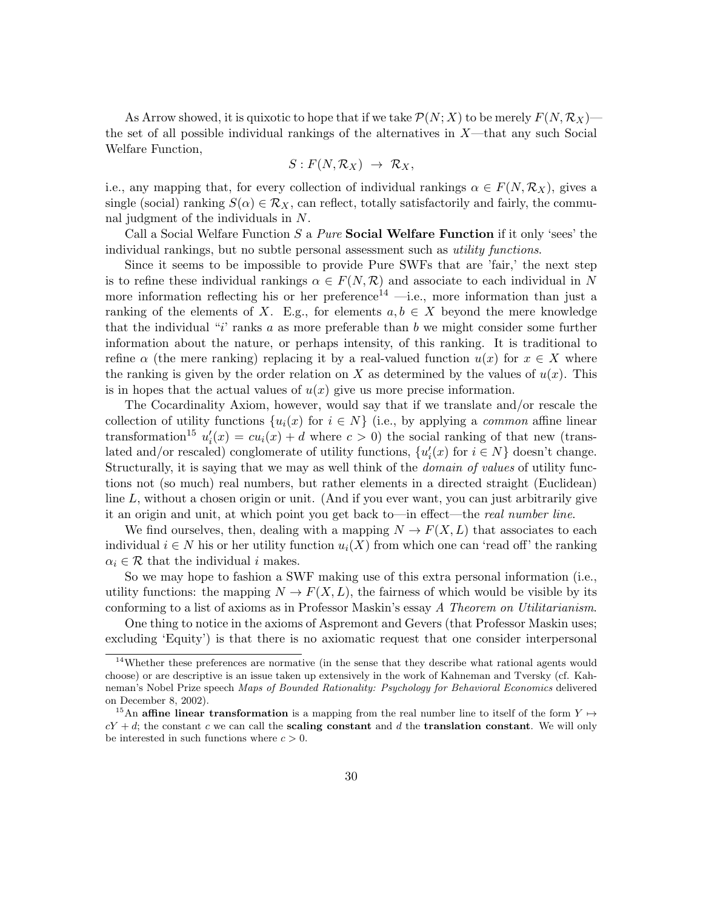As Arrow showed, it is quixotic to hope that if we take  $\mathcal{P}(N;X)$  to be merely  $F(N,\mathcal{R}_X)$  the set of all possible individual rankings of the alternatives in  $X$ —that any such Social Welfare Function,

$$
S: F(N, \mathcal{R}_X) \rightarrow \mathcal{R}_X,
$$

i.e., any mapping that, for every collection of individual rankings  $\alpha \in F(N, \mathcal{R}_X)$ , gives a single (social) ranking  $S(\alpha) \in \mathcal{R}_X$ , can reflect, totally satisfactorily and fairly, the communal judgment of the individuals in N.

Call a Social Welfare Function  $S$  a Pure **Social Welfare Function** if it only 'sees' the individual rankings, but no subtle personal assessment such as *utility functions*.

Since it seems to be impossible to provide Pure SWFs that are 'fair,' the next step is to refine these individual rankings  $\alpha \in F(N, \mathcal{R})$  and associate to each individual in N more information reflecting his or her preference<sup>14</sup> —i.e., more information than just a ranking of the elements of X. E.g., for elements  $a, b \in X$  beyond the mere knowledge that the individual "i' ranks a as more preferable than b we might consider some further information about the nature, or perhaps intensity, of this ranking. It is traditional to refine  $\alpha$  (the mere ranking) replacing it by a real-valued function  $u(x)$  for  $x \in X$  where the ranking is given by the order relation on X as determined by the values of  $u(x)$ . This is in hopes that the actual values of  $u(x)$  give us more precise information.

The Cocardinality Axiom, however, would say that if we translate and/or rescale the collection of utility functions  $\{u_i(x) \text{ for } i \in N\}$  (i.e., by applying a *common* affine linear transformation<sup>15</sup>  $u'_i(x) = cu_i(x) + d$  where  $c > 0$ ) the social ranking of that new (translated and/or rescaled) conglomerate of utility functions,  $\{u'_i(x)$  for  $i \in N\}$  doesn't change. Structurally, it is saying that we may as well think of the domain of values of utility functions not (so much) real numbers, but rather elements in a directed straight (Euclidean) line  $L$ , without a chosen origin or unit. (And if you ever want, you can just arbitrarily give it an origin and unit, at which point you get back to—in effect—the real number line.

We find ourselves, then, dealing with a mapping  $N \to F(X, L)$  that associates to each individual  $i \in N$  his or her utility function  $u_i(X)$  from which one can 'read off' the ranking  $\alpha_i \in \mathcal{R}$  that the individual i makes.

So we may hope to fashion a SWF making use of this extra personal information (i.e., utility functions: the mapping  $N \to F(X, L)$ , the fairness of which would be visible by its conforming to a list of axioms as in Professor Maskin's essay A Theorem on Utilitarianism.

One thing to notice in the axioms of Aspremont and Gevers (that Professor Maskin uses; excluding 'Equity') is that there is no axiomatic request that one consider interpersonal

<sup>&</sup>lt;sup>14</sup>Whether these preferences are normative (in the sense that they describe what rational agents would choose) or are descriptive is an issue taken up extensively in the work of Kahneman and Tversky (cf. Kahneman's Nobel Prize speech Maps of Bounded Rationality: Psychology for Behavioral Economics delivered on December 8, 2002).

<sup>&</sup>lt;sup>15</sup>An **affine linear transformation** is a mapping from the real number line to itself of the form  $Y \mapsto$  $cY + d$ ; the constant c we can call the scaling constant and d the translation constant. We will only be interested in such functions where  $c > 0$ .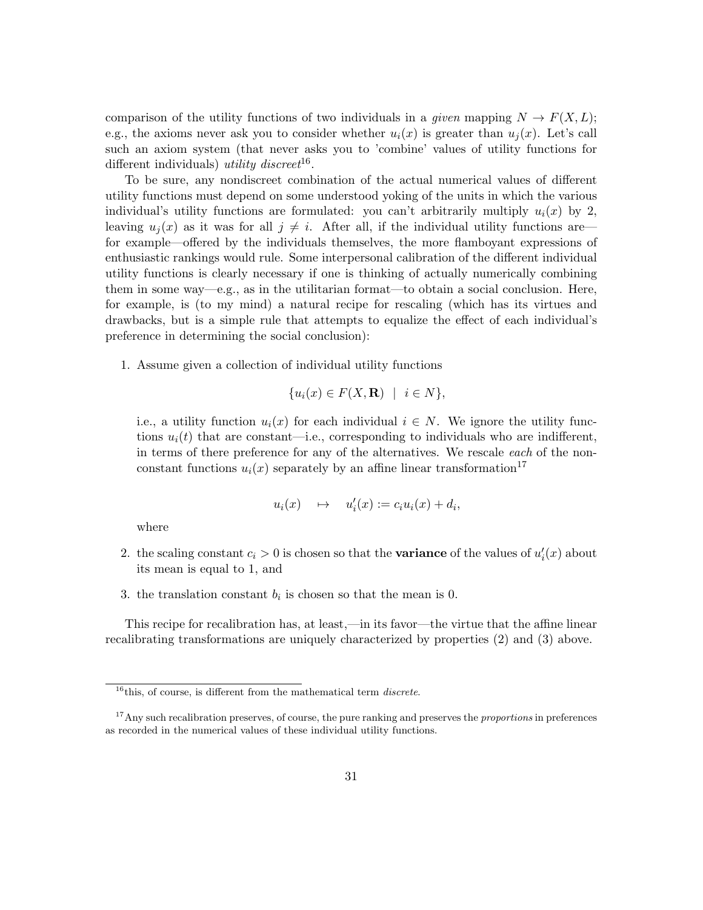comparison of the utility functions of two individuals in a *given* mapping  $N \to F(X, L)$ ; e.g., the axioms never ask you to consider whether  $u_i(x)$  is greater than  $u_i(x)$ . Let's call such an axiom system (that never asks you to 'combine' values of utility functions for different individuals) utility discreet<sup>16</sup>.

To be sure, any nondiscreet combination of the actual numerical values of different utility functions must depend on some understood yoking of the units in which the various individual's utility functions are formulated: you can't arbitrarily multiply  $u_i(x)$  by 2, leaving  $u_i(x)$  as it was for all  $j \neq i$ . After all, if the individual utility functions are for example—offered by the individuals themselves, the more flamboyant expressions of enthusiastic rankings would rule. Some interpersonal calibration of the different individual utility functions is clearly necessary if one is thinking of actually numerically combining them in some way—e.g., as in the utilitarian format—to obtain a social conclusion. Here, for example, is (to my mind) a natural recipe for rescaling (which has its virtues and drawbacks, but is a simple rule that attempts to equalize the effect of each individual's preference in determining the social conclusion):

1. Assume given a collection of individual utility functions

$$
\{u_i(x) \in F(X, \mathbf{R}) \mid i \in N\},\
$$

i.e., a utility function  $u_i(x)$  for each individual  $i \in N$ . We ignore the utility functions  $u_i(t)$  that are constant—i.e., corresponding to individuals who are indifferent, in terms of there preference for any of the alternatives. We rescale each of the nonconstant functions  $u_i(x)$  separately by an affine linear transformation<sup>17</sup>

$$
u_i(x) \quad \mapsto \quad u'_i(x) := c_i u_i(x) + d_i,
$$

where

- 2. the scaling constant  $c_i > 0$  is chosen so that the **variance** of the values of  $u'_i(x)$  about its mean is equal to 1, and
- 3. the translation constant  $b_i$  is chosen so that the mean is 0.

This recipe for recalibration has, at least,—in its favor—the virtue that the affine linear recalibrating transformations are uniquely characterized by properties (2) and (3) above.

<sup>&</sup>lt;sup>16</sup>this, of course, is different from the mathematical term *discrete*.

 $17$ Any such recalibration preserves, of course, the pure ranking and preserves the *proportions* in preferences as recorded in the numerical values of these individual utility functions.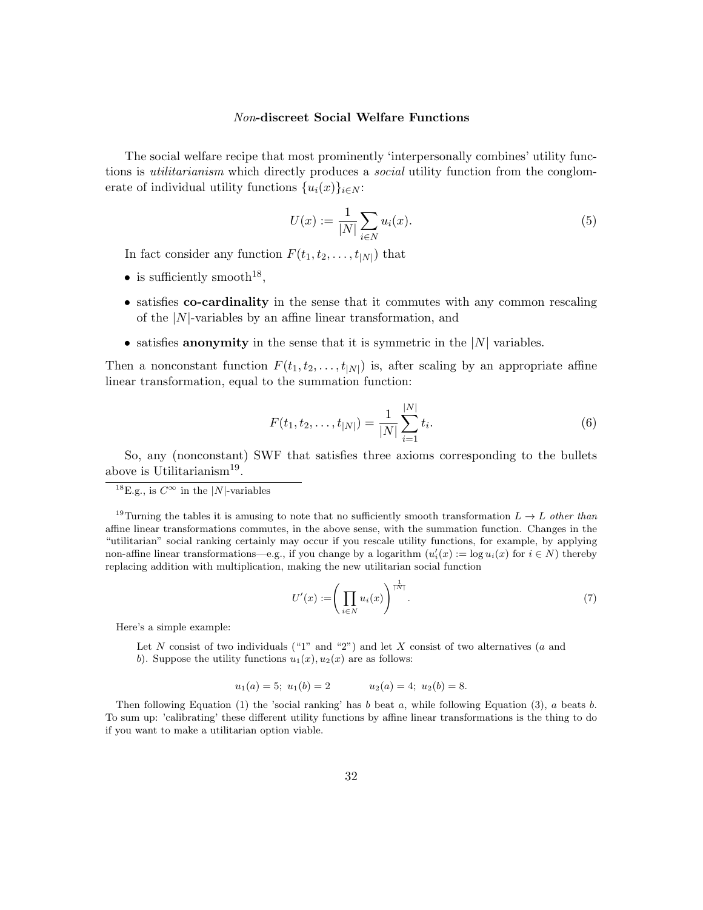#### Non-discreet Social Welfare Functions

The social welfare recipe that most prominently 'interpersonally combines' utility functions is *utilitarianism* which directly produces a *social* utility function from the conglomerate of individual utility functions  $\{u_i(x)\}_{i\in N}$ :

$$
U(x) := \frac{1}{|N|} \sum_{i \in N} u_i(x).
$$
 (5)

In fact consider any function  $F(t_1, t_2, \ldots, t_{|N|})$  that

- is sufficiently smooth<sup>18</sup>,
- satisfies co-cardinality in the sense that it commutes with any common rescaling of the  $|N|$ -variables by an affine linear transformation, and
- satisfies anonymity in the sense that it is symmetric in the  $|N|$  variables.

Then a nonconstant function  $F(t_1, t_2, \ldots, t_{|N|})$  is, after scaling by an appropriate affine linear transformation, equal to the summation function:

$$
F(t_1, t_2, \dots, t_{|N|}) = \frac{1}{|N|} \sum_{i=1}^{|N|} t_i.
$$
 (6)

So, any (nonconstant) SWF that satisfies three axioms corresponding to the bullets above is Utilitarianism<sup>19</sup>.

$$
U'(x) := \left(\prod_{i \in N} u_i(x)\right)^{\frac{1}{|N|}}.\tag{7}
$$

Here's a simple example:

Let N consist of two individuals  $(1)$  and  $(2)$ ) and let X consist of two alternatives (a and b). Suppose the utility functions  $u_1(x), u_2(x)$  are as follows:

$$
u_1(a) = 5; u_1(b) = 2
$$
  $u_2(a) = 4; u_2(b) = 8.$ 

Then following Equation (1) the 'social ranking' has b beat a, while following Equation (3), a beats b. To sum up: 'calibrating' these different utility functions by affine linear transformations is the thing to do if you want to make a utilitarian option viable.

<sup>&</sup>lt;sup>18</sup>E.g., is  $C^{\infty}$  in the |N|-variables

<sup>&</sup>lt;sup>19</sup>Turning the tables it is amusing to note that no sufficiently smooth transformation  $L \rightarrow L$  other than affine linear transformations commutes, in the above sense, with the summation function. Changes in the "utilitarian" social ranking certainly may occur if you rescale utility functions, for example, by applying non-affine linear transformations—e.g., if you change by a logarithm  $(u_i'(x) := \log u_i(x)$  for  $i \in N$ ) thereby replacing addition with multiplication, making the new utilitarian social function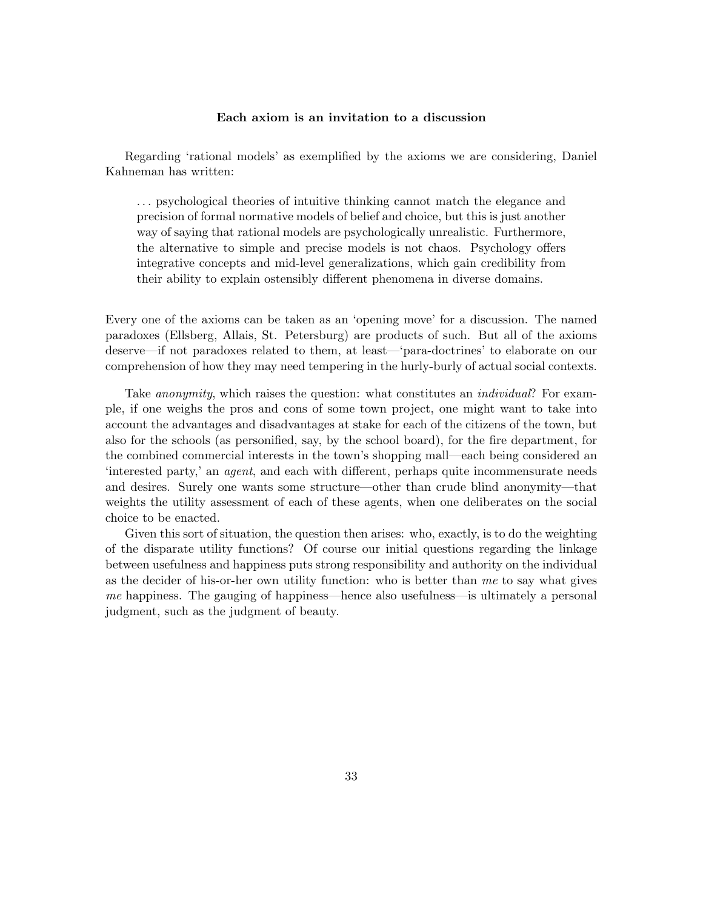#### Each axiom is an invitation to a discussion

Regarding 'rational models' as exemplified by the axioms we are considering, Daniel Kahneman has written:

. . . psychological theories of intuitive thinking cannot match the elegance and precision of formal normative models of belief and choice, but this is just another way of saying that rational models are psychologically unrealistic. Furthermore, the alternative to simple and precise models is not chaos. Psychology offers integrative concepts and mid-level generalizations, which gain credibility from their ability to explain ostensibly different phenomena in diverse domains.

Every one of the axioms can be taken as an 'opening move' for a discussion. The named paradoxes (Ellsberg, Allais, St. Petersburg) are products of such. But all of the axioms deserve—if not paradoxes related to them, at least—'para-doctrines' to elaborate on our comprehension of how they may need tempering in the hurly-burly of actual social contexts.

Take *anonymity*, which raises the question: what constitutes an *individual*? For example, if one weighs the pros and cons of some town project, one might want to take into account the advantages and disadvantages at stake for each of the citizens of the town, but also for the schools (as personified, say, by the school board), for the fire department, for the combined commercial interests in the town's shopping mall—each being considered an 'interested party,' an agent, and each with different, perhaps quite incommensurate needs and desires. Surely one wants some structure—other than crude blind anonymity—that weights the utility assessment of each of these agents, when one deliberates on the social choice to be enacted.

Given this sort of situation, the question then arises: who, exactly, is to do the weighting of the disparate utility functions? Of course our initial questions regarding the linkage between usefulness and happiness puts strong responsibility and authority on the individual as the decider of his-or-her own utility function: who is better than me to say what gives me happiness. The gauging of happiness—hence also usefulness—is ultimately a personal judgment, such as the judgment of beauty.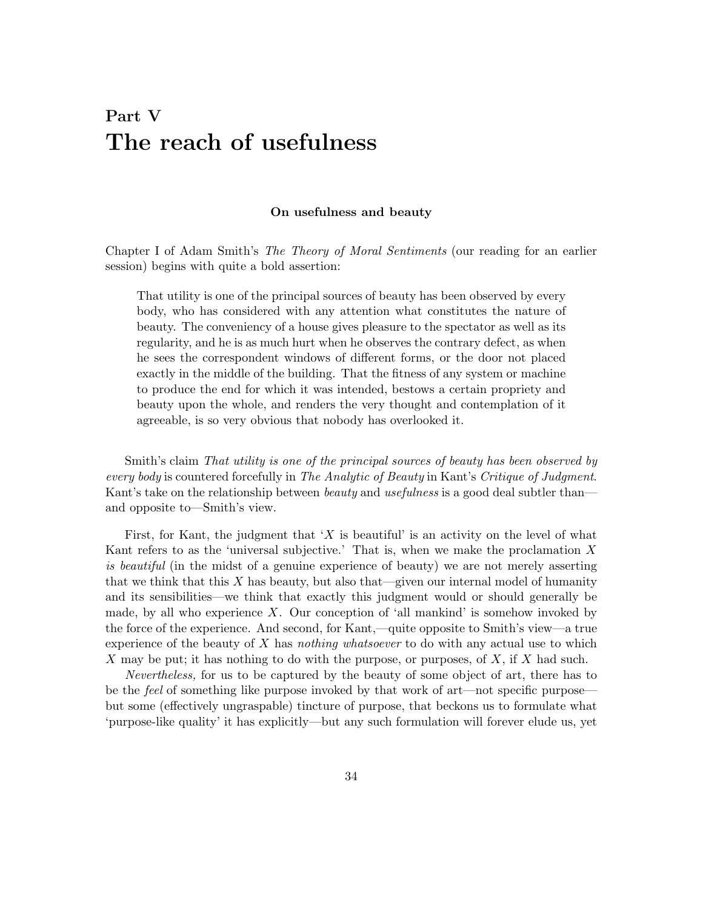## Part V The reach of usefulness

#### On usefulness and beauty

Chapter I of Adam Smith's The Theory of Moral Sentiments (our reading for an earlier session) begins with quite a bold assertion:

That utility is one of the principal sources of beauty has been observed by every body, who has considered with any attention what constitutes the nature of beauty. The conveniency of a house gives pleasure to the spectator as well as its regularity, and he is as much hurt when he observes the contrary defect, as when he sees the correspondent windows of different forms, or the door not placed exactly in the middle of the building. That the fitness of any system or machine to produce the end for which it was intended, bestows a certain propriety and beauty upon the whole, and renders the very thought and contemplation of it agreeable, is so very obvious that nobody has overlooked it.

Smith's claim That utility is one of the principal sources of beauty has been observed by every body is countered forcefully in The Analytic of Beauty in Kant's Critique of Judgment. Kant's take on the relationship between *beauty* and *usefulness* is a good deal subtler than and opposite to—Smith's view.

First, for Kant, the judgment that  $'X$  is beautiful' is an activity on the level of what Kant refers to as the 'universal subjective.' That is, when we make the proclamation  $X$ is beautiful (in the midst of a genuine experience of beauty) we are not merely asserting that we think that this  $X$  has beauty, but also that—given our internal model of humanity and its sensibilities—we think that exactly this judgment would or should generally be made, by all who experience  $X$ . Our conception of 'all mankind' is somehow invoked by the force of the experience. And second, for Kant,—quite opposite to Smith's view—a true experience of the beauty of  $X$  has *nothing whatsoever* to do with any actual use to which X may be put; it has nothing to do with the purpose, or purposes, of  $X$ , if  $X$  had such.

Nevertheless, for us to be captured by the beauty of some object of art, there has to be the *feel* of something like purpose invoked by that work of art—not specific purpose but some (effectively ungraspable) tincture of purpose, that beckons us to formulate what 'purpose-like quality' it has explicitly—but any such formulation will forever elude us, yet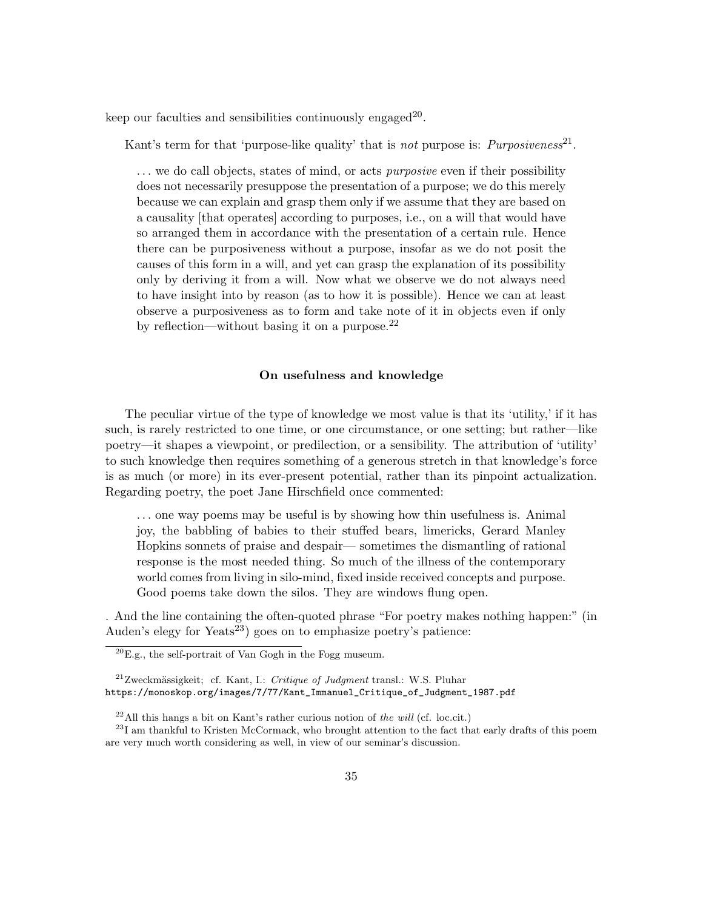keep our faculties and sensibilities continuously engaged<sup>20</sup>.

Kant's term for that 'purpose-like quality' that is *not* purpose is:  $Purposiveness^{21}$ .

... we do call objects, states of mind, or acts *purposive* even if their possibility does not necessarily presuppose the presentation of a purpose; we do this merely because we can explain and grasp them only if we assume that they are based on a causality [that operates] according to purposes, i.e., on a will that would have so arranged them in accordance with the presentation of a certain rule. Hence there can be purposiveness without a purpose, insofar as we do not posit the causes of this form in a will, and yet can grasp the explanation of its possibility only by deriving it from a will. Now what we observe we do not always need to have insight into by reason (as to how it is possible). Hence we can at least observe a purposiveness as to form and take note of it in objects even if only by reflection—without basing it on a purpose.<sup>22</sup>

#### On usefulness and knowledge

The peculiar virtue of the type of knowledge we most value is that its 'utility,' if it has such, is rarely restricted to one time, or one circumstance, or one setting; but rather—like poetry—it shapes a viewpoint, or predilection, or a sensibility. The attribution of 'utility' to such knowledge then requires something of a generous stretch in that knowledge's force is as much (or more) in its ever-present potential, rather than its pinpoint actualization. Regarding poetry, the poet Jane Hirschfield once commented:

. . . one way poems may be useful is by showing how thin usefulness is. Animal joy, the babbling of babies to their stuffed bears, limericks, Gerard Manley Hopkins sonnets of praise and despair— sometimes the dismantling of rational response is the most needed thing. So much of the illness of the contemporary world comes from living in silo-mind, fixed inside received concepts and purpose. Good poems take down the silos. They are windows flung open.

. And the line containing the often-quoted phrase "For poetry makes nothing happen:" (in Auden's elegy for Yeats<sup>23</sup>) goes on to emphasize poetry's patience:

 $^{20}$ E.g., the self-portrait of Van Gogh in the Fogg museum.

<sup>&</sup>lt;sup>21</sup>Zweckmässigkeit; cf. Kant, I.: Critique of Judgment transl.: W.S. Pluhar https://monoskop.org/images/7/77/Kant\_Immanuel\_Critique\_of\_Judgment\_1987.pdf

 $^{22}$ All this hangs a bit on Kant's rather curious notion of the will (cf. loc.cit.)

<sup>&</sup>lt;sup>23</sup>I am thankful to Kristen McCormack, who brought attention to the fact that early drafts of this poem are very much worth considering as well, in view of our seminar's discussion.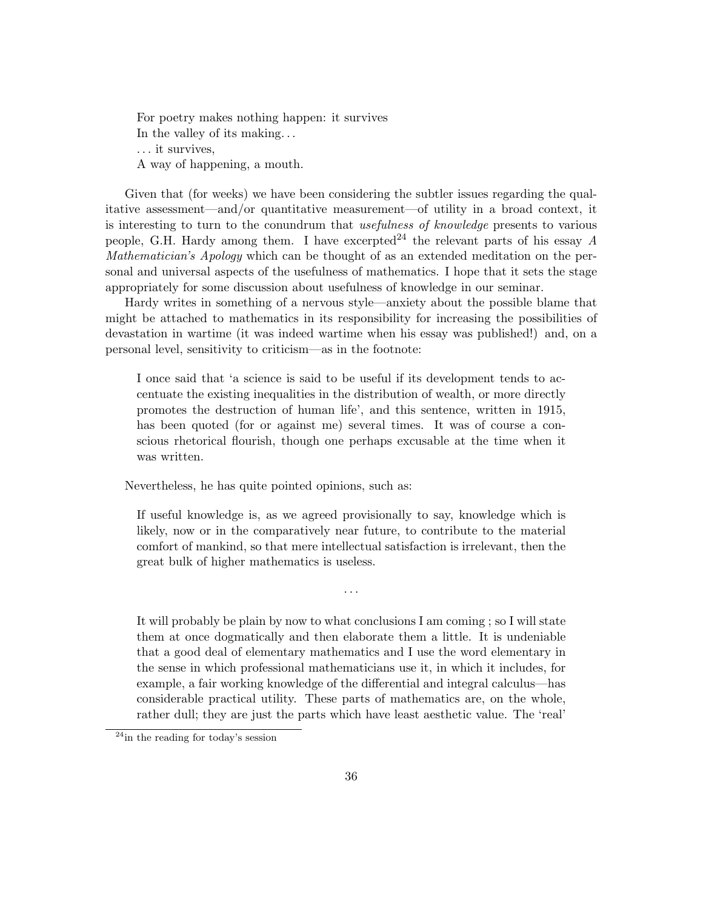For poetry makes nothing happen: it survives In the valley of its making. . . . . . it survives, A way of happening, a mouth.

Given that (for weeks) we have been considering the subtler issues regarding the qualitative assessment—and/or quantitative measurement—of utility in a broad context, it is interesting to turn to the conundrum that usefulness of knowledge presents to various people, G.H. Hardy among them. I have excerpted<sup>24</sup> the relevant parts of his essay A Mathematician's Apology which can be thought of as an extended meditation on the personal and universal aspects of the usefulness of mathematics. I hope that it sets the stage appropriately for some discussion about usefulness of knowledge in our seminar.

Hardy writes in something of a nervous style—anxiety about the possible blame that might be attached to mathematics in its responsibility for increasing the possibilities of devastation in wartime (it was indeed wartime when his essay was published!) and, on a personal level, sensitivity to criticism—as in the footnote:

I once said that 'a science is said to be useful if its development tends to accentuate the existing inequalities in the distribution of wealth, or more directly promotes the destruction of human life', and this sentence, written in 1915, has been quoted (for or against me) several times. It was of course a conscious rhetorical flourish, though one perhaps excusable at the time when it was written.

Nevertheless, he has quite pointed opinions, such as:

If useful knowledge is, as we agreed provisionally to say, knowledge which is likely, now or in the comparatively near future, to contribute to the material comfort of mankind, so that mere intellectual satisfaction is irrelevant, then the great bulk of higher mathematics is useless.

. . .

It will probably be plain by now to what conclusions I am coming ; so I will state them at once dogmatically and then elaborate them a little. It is undeniable that a good deal of elementary mathematics and I use the word elementary in the sense in which professional mathematicians use it, in which it includes, for example, a fair working knowledge of the differential and integral calculus—has considerable practical utility. These parts of mathematics are, on the whole, rather dull; they are just the parts which have least aesthetic value. The 'real'

 $24$ in the reading for today's session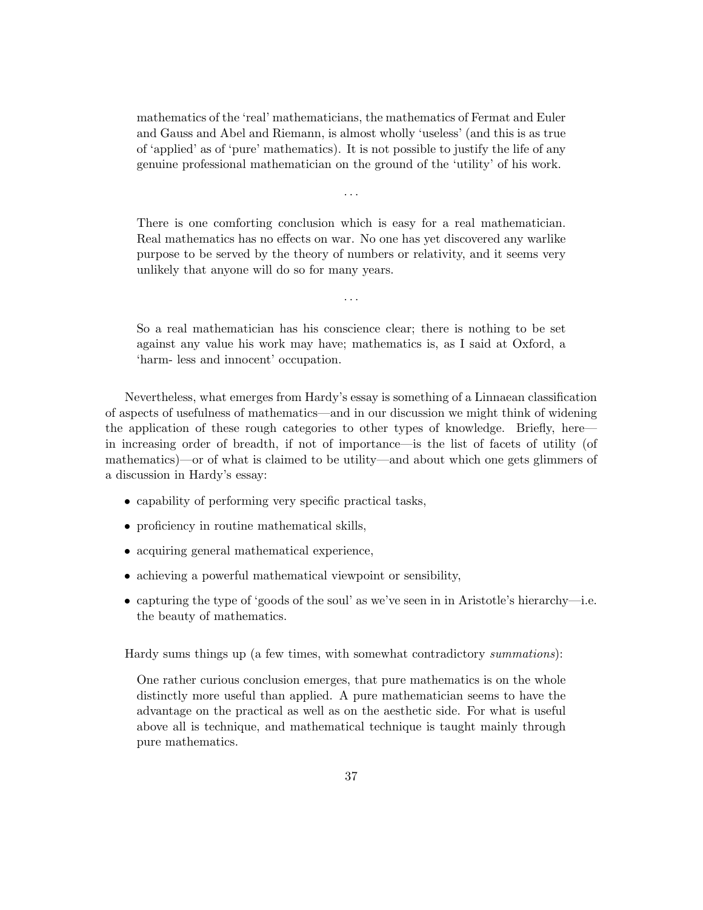mathematics of the 'real' mathematicians, the mathematics of Fermat and Euler and Gauss and Abel and Riemann, is almost wholly 'useless' (and this is as true of 'applied' as of 'pure' mathematics). It is not possible to justify the life of any genuine professional mathematician on the ground of the 'utility' of his work.

. . .

There is one comforting conclusion which is easy for a real mathematician. Real mathematics has no effects on war. No one has yet discovered any warlike purpose to be served by the theory of numbers or relativity, and it seems very unlikely that anyone will do so for many years.

. . .

So a real mathematician has his conscience clear; there is nothing to be set against any value his work may have; mathematics is, as I said at Oxford, a 'harm- less and innocent' occupation.

Nevertheless, what emerges from Hardy's essay is something of a Linnaean classification of aspects of usefulness of mathematics—and in our discussion we might think of widening the application of these rough categories to other types of knowledge. Briefly, here in increasing order of breadth, if not of importance—is the list of facets of utility (of mathematics)—or of what is claimed to be utility—and about which one gets glimmers of a discussion in Hardy's essay:

- capability of performing very specific practical tasks,
- proficiency in routine mathematical skills,
- acquiring general mathematical experience,
- achieving a powerful mathematical viewpoint or sensibility,
- capturing the type of 'goods of the soul' as we've seen in in Aristotle's hierarchy—i.e. the beauty of mathematics.

Hardy sums things up (a few times, with somewhat contradictory summations):

One rather curious conclusion emerges, that pure mathematics is on the whole distinctly more useful than applied. A pure mathematician seems to have the advantage on the practical as well as on the aesthetic side. For what is useful above all is technique, and mathematical technique is taught mainly through pure mathematics.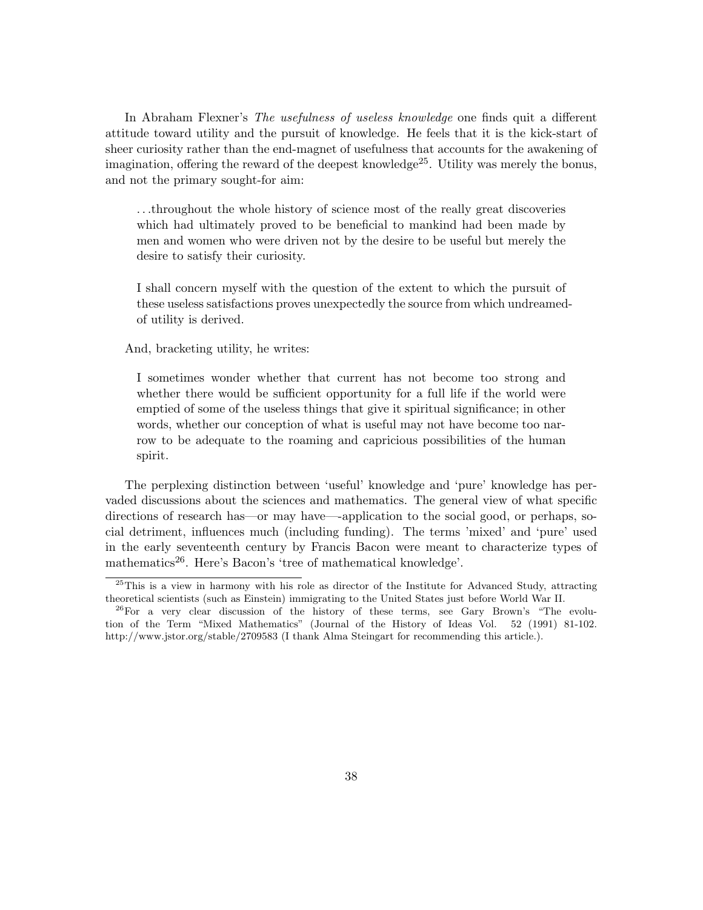In Abraham Flexner's The usefulness of useless knowledge one finds quit a different attitude toward utility and the pursuit of knowledge. He feels that it is the kick-start of sheer curiosity rather than the end-magnet of usefulness that accounts for the awakening of imagination, offering the reward of the deepest knowledge<sup>25</sup>. Utility was merely the bonus, and not the primary sought-for aim:

. . .throughout the whole history of science most of the really great discoveries which had ultimately proved to be beneficial to mankind had been made by men and women who were driven not by the desire to be useful but merely the desire to satisfy their curiosity.

I shall concern myself with the question of the extent to which the pursuit of these useless satisfactions proves unexpectedly the source from which undreamedof utility is derived.

And, bracketing utility, he writes:

I sometimes wonder whether that current has not become too strong and whether there would be sufficient opportunity for a full life if the world were emptied of some of the useless things that give it spiritual significance; in other words, whether our conception of what is useful may not have become too narrow to be adequate to the roaming and capricious possibilities of the human spirit.

The perplexing distinction between 'useful' knowledge and 'pure' knowledge has pervaded discussions about the sciences and mathematics. The general view of what specific directions of research has—or may have—-application to the social good, or perhaps, social detriment, influences much (including funding). The terms 'mixed' and 'pure' used in the early seventeenth century by Francis Bacon were meant to characterize types of mathematics<sup>26</sup>. Here's Bacon's 'tree of mathematical knowledge'.

 $^{25}$ This is a view in harmony with his role as director of the Institute for Advanced Study, attracting theoretical scientists (such as Einstein) immigrating to the United States just before World War II.

 $^{26}$ For a very clear discussion of the history of these terms, see Gary Brown's "The evolution of the Term "Mixed Mathematics" (Journal of the History of Ideas Vol. 52 (1991) 81-102. http://www.jstor.org/stable/2709583 (I thank Alma Steingart for recommending this article.).